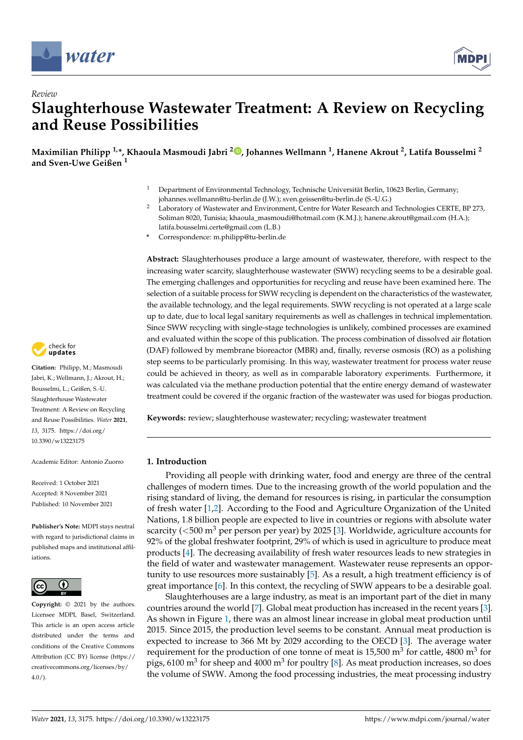

*Review*



# **Slaughterhouse Wastewater Treatment: A Review on Recycling and Reuse Possibilities**

**Maximilian Philipp 1,\*, Khaoula Masmoudi Jabri <sup>2</sup> [,](https://orcid.org/0000-0001-7124-9215) Johannes Wellmann <sup>1</sup> , Hanene Akrout <sup>2</sup> , Latifa Bousselmi <sup>2</sup> and Sven-Uwe Geißen <sup>1</sup>**

- <sup>1</sup> Department of Environmental Technology, Technische Universität Berlin, 10623 Berlin, Germany; johannes.wellmann@tu-berlin.de (J.W.); sven.geissen@tu-berlin.de (S.-U.G.)
- <sup>2</sup> Laboratory of Wastewater and Environment, Centre for Water Research and Technologies CERTE, BP 273, Soliman 8020, Tunisia; khaoula\_masmoudi@hotmail.com (K.M.J.); hanene.akrout@gmail.com (H.A.); latifa.bousselmi.certe@gmail.com (L.B.)
- **\*** Correspondence: m.philipp@tu-berlin.de

**Abstract:** Slaughterhouses produce a large amount of wastewater, therefore, with respect to the increasing water scarcity, [slaughterhouse wastewater \(SWW\)](#page-21-0) recycling seems to be a desirable goal. The emerging challenges and opportunities for recycling and reuse have been examined here. The selection of a suitable process for [SWW](#page-21-0) recycling is dependent on the characteristics of the wastewater, the available technology, and the legal requirements. [SWW](#page-21-0) recycling is not operated at a large scale up to date, due to local legal sanitary requirements as well as challenges in technical implementation. Since [SWW](#page-21-0) recycling with single-stage technologies is unlikely, combined processes are examined and evaluated within the scope of this publication. The process combination of [dissolved air flotation](#page-21-1) [\(DAF\)](#page-21-1) followed by [membrane bioreactor \(MBR\)](#page-21-2) and, finally, [reverse osmosis \(RO\)](#page-21-3) as a polishing step seems to be particularly promising. In this way, wastewater treatment for process water reuse could be achieved in theory, as well as in comparable laboratory experiments. Furthermore, it was calculated via the methane production potential that the entire energy demand of wastewater treatment could be covered if the organic fraction of the wastewater was used for biogas production.

**Keywords:** review; slaughterhouse wastewater; recycling; wastewater treatment

# **1. Introduction**

Providing all people with drinking water, food and energy are three of the central challenges of modern times. Due to the increasing growth of the world population and the rising standard of living, the demand for resources is rising, in particular the consumption of fresh water [\[1](#page-22-0)[,2\]](#page-22-1). According to the Food and Agriculture Organization of the United Nations, 1.8 billion people are expected to live in countries or regions with absolute water scarcity ( $\leq$ 500 m<sup>3</sup> per person per year) by 2025 [\[3\]](#page-22-2). Worldwide, agriculture accounts for 92% of the global freshwater footprint, 29% of which is used in agriculture to produce meat products [\[4\]](#page-22-3). The decreasing availability of fresh water resources leads to new strategies in the field of water and wastewater management. Wastewater reuse represents an opportunity to use resources more sustainably [\[5\]](#page-22-4). As a result, a high treatment efficiency is of great importance [\[6\]](#page-22-5). In this context, the recycling of [SWW](#page-21-0) appears to be a desirable goal.

Slaughterhouses are a large industry, as meat is an important part of the diet in many countries around the world [\[7\]](#page-22-6). Global meat production has increased in the recent years [\[3\]](#page-22-2). As shown in Figure [1,](#page-1-0) there was an almost linear increase in global meat production until 2015. Since 2015, the production level seems to be constant. Annual meat production is expected to increase to 366 Mt by 2029 according to the OECD [\[3\]](#page-22-2). The average water requirement for the production of one tonne of meat is 15,500  $m^3$  for cattle, 4800  $m^3$  for pigs, 6100 m<sup>3</sup> for sheep and 4000 m<sup>3</sup> for poultry [\[8\]](#page-22-7). As meat production increases, so does the volume of [SWW.](#page-21-0) Among the food processing industries, the meat processing industry



**Citation:** Philipp, M.; Masmoudi Jabri, K.; Wellmann, J.; Akrout, H.; Bousselmi, L.; Geißen, S.-U. Slaughterhouse Wastewater Treatment: A Review on Recycling and Reuse Possibilities. *Water* **2021**, *13*, 3175. [https://doi.org/](https://doi.org/10.3390/w13223175) [10.3390/w13223175](https://doi.org/10.3390/w13223175)

Academic Editor: Antonio Zuorro

Received: 1 October 2021 Accepted: 8 November 2021 Published: 10 November 2021

**Publisher's Note:** MDPI stays neutral with regard to jurisdictional claims in published maps and institutional affiliations.



**Copyright:** © 2021 by the authors. Licensee MDPI, Basel, Switzerland. This article is an open access article distributed under the terms and conditions of the Creative Commons Attribution (CC BY) license (https:/[/](https://creativecommons.org/licenses/by/4.0/) [creativecommons.org/licenses/by/](https://creativecommons.org/licenses/by/4.0/)  $4.0/$ ).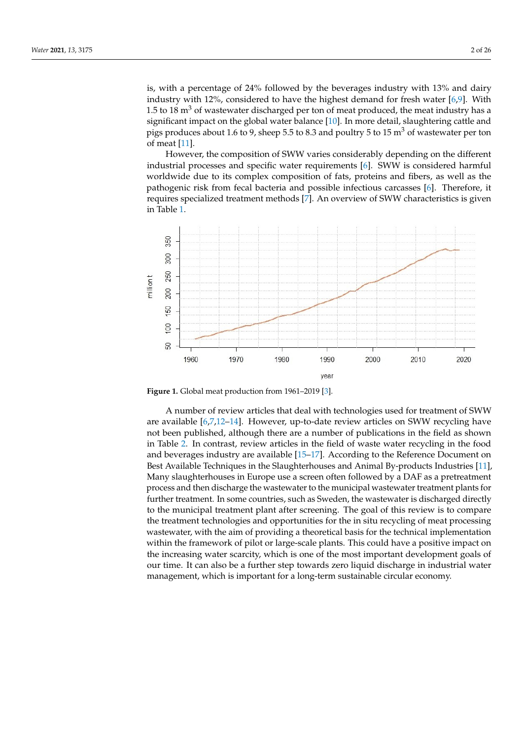is, with a percentage of 24% followed by the beverages industry with 13% and dairy industry with 12%, considered to have the highest demand for fresh water [\[6,](#page-22-5)[9\]](#page-22-8). With 1.5 to 18  $\text{m}^3$  of wastewater discharged per ton of meat produced, the meat industry has a significant impact on the global water balance [\[10\]](#page-22-9). In more detail, slaughtering cattle and pigs produces about 1.6 to 9, sheep 5.5 to 8.3 and poultry 5 to 15  $\text{m}^3$  of wastewater per ton of meat [\[11\]](#page-22-10).

However, the composition of [SWW](#page-21-0) varies considerably depending on the different industrial processes and specific water requirements [\[6\]](#page-22-5). [SWW](#page-21-0) is considered harmful worldwide due to its complex composition of fats, proteins and fibers, as well as the pathogenic risk from fecal bacteria and possible infectious carcasses [\[6\]](#page-22-5). Therefore, it requires specialized treatment methods [\[7\]](#page-22-6). An overview of [SWW](#page-21-0) characteristics is given in Table [1.](#page-2-0)

<span id="page-1-0"></span>

**Figure 1.** Global meat production from 1961–2019 [\[3\]](#page-22-2).

A number of review articles that deal with technologies used for treatment of [SWW](#page-21-0) are available [\[6](#page-22-5)[,7](#page-22-6)[,12](#page-22-11)[–14\]](#page-22-12). However, up-to-date review articles on [SWW](#page-21-0) recycling have not been published, although there are a number of publications in the field as shown in Table [2.](#page-2-1) In contrast, review articles in the field of waste water recycling in the food and beverages industry are available [\[15–](#page-22-13)[17\]](#page-22-14). According to the Reference Document on Best Available Techniques in the Slaughterhouses and Animal By-products Industries [\[11\]](#page-22-10), Many slaughterhouses in Europe use a screen often followed by a [DAF](#page-21-1) as a pretreatment process and then discharge the wastewater to the municipal wastewater treatment plants for further treatment. In some countries, such as Sweden, the wastewater is discharged directly to the municipal treatment plant after screening. The goal of this review is to compare the treatment technologies and opportunities for the in situ recycling of meat processing wastewater, with the aim of providing a theoretical basis for the technical implementation within the framework of pilot or large-scale plants. This could have a positive impact on the increasing water scarcity, which is one of the most important development goals of our time. It can also be a further step towards zero liquid discharge in industrial water management, which is important for a long-term sustainable circular economy.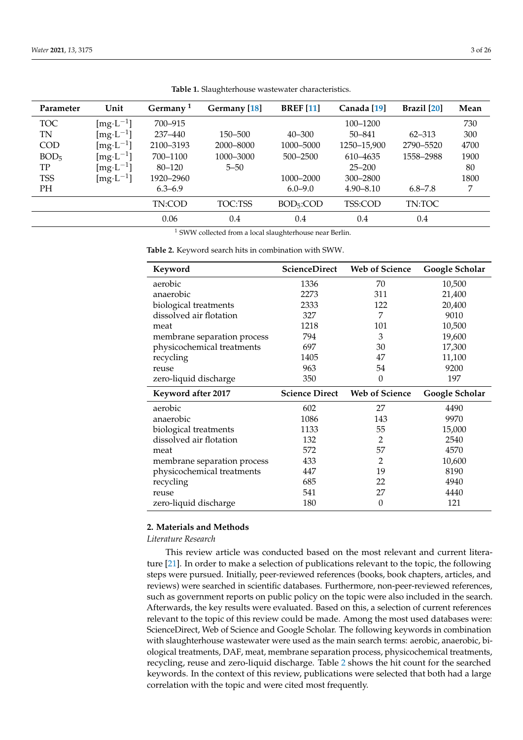<span id="page-2-0"></span>

| Parameter        | Unit                | Germany <sup>1</sup> | Germany [18] | <b>BREF</b> [11]       | Canada [19]   | $\textbf{Brazil}$ [20] | Mean |
|------------------|---------------------|----------------------|--------------|------------------------|---------------|------------------------|------|
| <b>TOC</b>       | $[mg \cdot L^{-1}]$ | 700-915              |              |                        | 100-1200      |                        | 730  |
| TN               | $[mg \cdot L^{-1}]$ | 237-440              | 150-500      | $40 - 300$             | $50 - 841$    | $62 - 313$             | 300  |
| <b>COD</b>       | $[mg \cdot L^{-1}]$ | 2100-3193            | 2000–8000    | 1000-5000              | 1250-15,900   | 2790-5520              | 4700 |
| BOD <sub>5</sub> | $[mg \cdot L^{-1}]$ | 700-1100             | 1000-3000    | 500-2500               | 610-4635      | 1558-2988              | 1900 |
| TP               | $[mg \cdot L^{-1}]$ | $80 - 120$           | $5 - 50$     |                        | $25 - 200$    |                        | 80   |
| <b>TSS</b>       | $[mg \cdot L^{-1}]$ | 1920–2960            |              | 1000-2000              | 300-2800      |                        | 1800 |
| PH               |                     | $6.3 - 6.9$          |              | $6.0 - 9.0$            | $4.90 - 8.10$ | $6.8 - 7.8$            | 7    |
|                  |                     | TN:COD               | TOC:TSS      | BOD <sub>5</sub> : COD | TSS:COD       | TN:TOC                 |      |
|                  |                     | 0.06                 | 0.4          | 0.4                    | 0.4           | 0.4                    |      |

**Table 1.** Slaughterhouse wastewater characteristics.

 $^1$  SWW collected from a local slaughterhouse near Berlin.

<span id="page-2-1"></span>**Table 2.** Keyword search hits in combination with [SWW.](#page-21-0)

| Keyword                                                   | ScienceDirect         | <b>Web of Science</b> | Google Scholar |
|-----------------------------------------------------------|-----------------------|-----------------------|----------------|
| aerobic                                                   | 1336                  | 70                    | 10,500         |
| anaerobic                                                 | 2273                  | 311                   | 21,400         |
| biological treatments                                     | 2333                  | 122                   | 20,400         |
| dissolved air flotation                                   | 327                   | 7                     | 9010           |
| meat                                                      | 1218                  | 101                   | 10,500         |
| membrane separation process                               | 794                   | 3                     | 19,600         |
| physicochemical treatments                                | 697                   | 30                    | 17,300         |
| recycling                                                 | 1405                  | 47                    | 11,100         |
| reuse                                                     | 963                   | 54                    | 9200           |
| zero-liquid discharge                                     | 350                   | 0                     | 197            |
|                                                           |                       |                       |                |
| <b>Keyword after 2017</b>                                 | <b>Science Direct</b> | <b>Web of Science</b> | Google Scholar |
| aerobic                                                   | 602                   | 27                    | 4490           |
| anaerobic                                                 | 1086                  | 143                   | 9970           |
|                                                           | 1133                  | 55                    | 15,000         |
| biological treatments<br>dissolved air flotation          | 132                   | 2                     | 2540           |
| meat                                                      | 572                   | 57                    | 4570           |
|                                                           | 433                   | 2                     | 10,600         |
| membrane separation process<br>physicochemical treatments | 447                   | 19                    | 8190           |
| recycling                                                 | 685                   | 22                    | 4940           |
| reuse                                                     | 541                   | 27                    | 4440           |

## **2. Materials and Methods**

*Literature Research*

This review article was conducted based on the most relevant and current literature [\[21\]](#page-22-18). In order to make a selection of publications relevant to the topic, the following steps were pursued. Initially, peer-reviewed references (books, book chapters, articles, and reviews) were searched in scientific databases. Furthermore, non-peer-reviewed references, such as government reports on public policy on the topic were also included in the search. Afterwards, the key results were evaluated. Based on this, a selection of current references relevant to the topic of this review could be made. Among the most used databases were: ScienceDirect, Web of Science and Google Scholar. The following keywords in combination with slaughterhouse wastewater were used as the main search terms: aerobic, anaerobic, biological treatments, [DAF,](#page-21-1) meat, membrane separation process, physicochemical treatments, recycling, reuse and zero-liquid discharge. Table [2](#page-2-1) shows the hit count for the searched keywords. In the context of this review, publications were selected that both had a large correlation with the topic and were cited most frequently.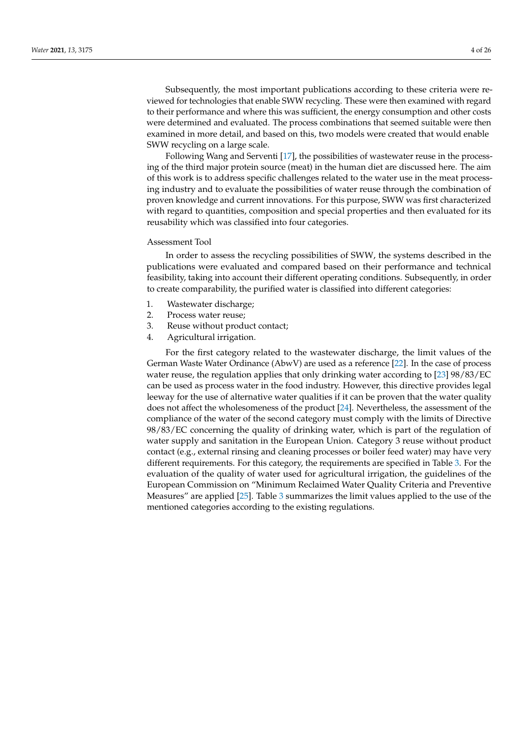Subsequently, the most important publications according to these criteria were reviewed for technologies that enable [SWW](#page-21-0) recycling. These were then examined with regard to their performance and where this was sufficient, the energy consumption and other costs were determined and evaluated. The process combinations that seemed suitable were then examined in more detail, and based on this, two models were created that would enable [SWW](#page-21-0) recycling on a large scale.

Following Wang and Serventi [\[17\]](#page-22-14), the possibilities of wastewater reuse in the processing of the third major protein source (meat) in the human diet are discussed here. The aim of this work is to address specific challenges related to the water use in the meat processing industry and to evaluate the possibilities of water reuse through the combination of proven knowledge and current innovations. For this purpose, [SWW](#page-21-0) was first characterized with regard to quantities, composition and special properties and then evaluated for its reusability which was classified into four categories.

## Assessment Tool

In order to assess the recycling possibilities of [SWW,](#page-21-0) the systems described in the publications were evaluated and compared based on their performance and technical feasibility, taking into account their different operating conditions. Subsequently, in order to create comparability, the purified water is classified into different categories:

- 1. Wastewater discharge;
- 2. Process water reuse;
- 3. Reuse without product contact;
- 4. Agricultural irrigation.

For the first category related to the wastewater discharge, the limit values of the German Waste Water Ordinance (AbwV) are used as a reference [\[22\]](#page-22-19). In the case of process water reuse, the regulation applies that only drinking water according to [\[23\]](#page-22-20) 98/83/EC can be used as process water in the food industry. However, this directive provides legal leeway for the use of alternative water qualities if it can be proven that the water quality does not affect the wholesomeness of the product [\[24\]](#page-22-21). Nevertheless, the assessment of the compliance of the water of the second category must comply with the limits of Directive 98/83/EC concerning the quality of drinking water, which is part of the regulation of water supply and sanitation in the European Union. Category 3 reuse without product contact (e.g., external rinsing and cleaning processes or boiler feed water) may have very different requirements. For this category, the requirements are specified in Table [3.](#page-4-0) For the evaluation of the quality of water used for agricultural irrigation, the guidelines of the European Commission on "Minimum Reclaimed Water Quality Criteria and Preventive Measures" are applied [\[25\]](#page-23-0). Table [3](#page-4-0) summarizes the limit values applied to the use of the mentioned categories according to the existing regulations.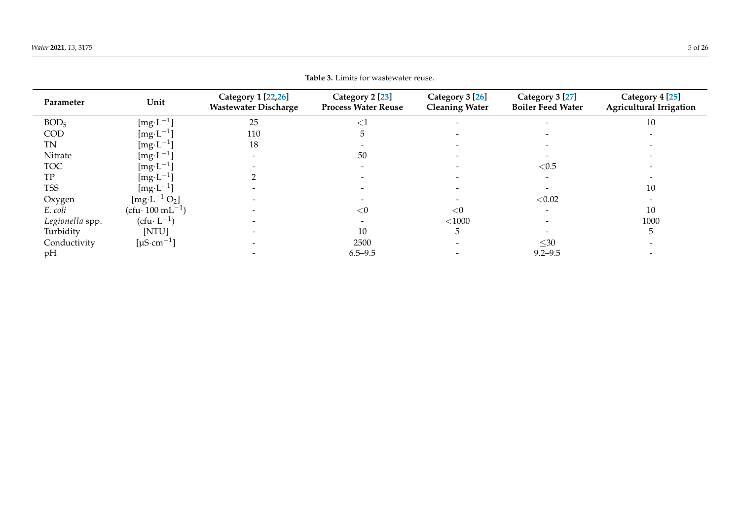<span id="page-4-0"></span>

| <b>Table 3.</b> Limits for wastewater reuse. |                              |                                                   |                                                          |                                          |                                             |                                                   |
|----------------------------------------------|------------------------------|---------------------------------------------------|----------------------------------------------------------|------------------------------------------|---------------------------------------------|---------------------------------------------------|
| Parameter                                    | Unit                         | Category 1 [22,26]<br><b>Wastewater Discharge</b> | Category 2 <sup>[23]</sup><br><b>Process Water Reuse</b> | Category 3 [26]<br><b>Cleaning Water</b> | Category 3 [27]<br><b>Boiler Feed Water</b> | Category 4 [25]<br><b>Agricultural Irrigation</b> |
| BOD <sub>5</sub>                             | $[mg \cdot L^{-1}]$          | 25                                                | $<$ 1                                                    |                                          |                                             | 10                                                |
| COD                                          | [mg·L <sup>-1</sup> ]        | 110                                               | د.                                                       |                                          |                                             |                                                   |
| <b>TN</b>                                    | $[mg \cdot L^{-1}]$          | 18                                                |                                                          |                                          |                                             |                                                   |
| Nitrate                                      | $[mg \cdot L^{-1}]$          | $\overline{\phantom{0}}$                          | 50                                                       |                                          |                                             |                                                   |
| <b>TOC</b>                                   | $[mg \cdot L^{-1}]$          |                                                   |                                                          |                                          | < 0.5                                       |                                                   |
| TP                                           | $[mg \cdot L^{-1}]$          |                                                   |                                                          |                                          |                                             |                                                   |
| <b>TSS</b>                                   | $[mg \cdot L^{-1}]$          |                                                   |                                                          |                                          |                                             | 10                                                |
| Oxygen                                       | $[mg \cdot L^{-1} O_2]$      |                                                   |                                                          |                                          | < 0.02                                      |                                                   |
| E. coli                                      | $(cfu· 100 mL-1)$            |                                                   | < 0                                                      | < 0                                      |                                             | 10                                                |
| Legionella spp.                              | $(cfu \cdot L^{-1})$         |                                                   |                                                          | $<\!1000$                                |                                             | 1000                                              |
| Turbidity                                    | [NTU]                        |                                                   | 10                                                       |                                          |                                             | 5                                                 |
| Conductivity                                 | [ $\mu$ S·cm <sup>-1</sup> ] |                                                   | 2500                                                     |                                          | $\leq 30$                                   |                                                   |
| pH                                           |                              |                                                   | $6.5 - 9.5$                                              |                                          | $9.2 - 9.5$                                 |                                                   |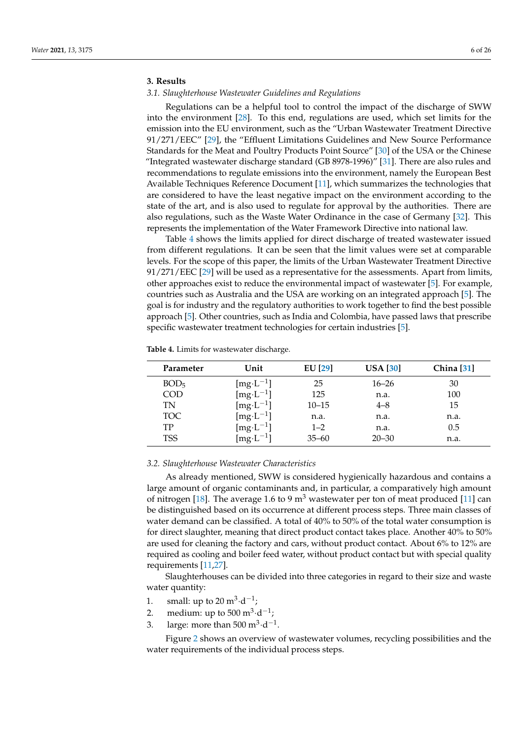# **3. Results**

## *3.1. Slaughterhouse Wastewater Guidelines and Regulations*

Regulations can be a helpful tool to control the impact of the discharge of [SWW](#page-21-0) into the environment [\[28\]](#page-23-4). To this end, regulations are used, which set limits for the emission into the EU environment, such as the "Urban Wastewater Treatment Directive 91/271/EEC" [\[29\]](#page-23-5), the "Effluent Limitations Guidelines and New Source Performance Standards for the Meat and Poultry Products Point Source" [\[30\]](#page-23-6) of the USA or the Chinese "Integrated wastewater discharge standard (GB 8978-1996)" [\[31\]](#page-23-7). There are also rules and recommendations to regulate emissions into the environment, namely the European Best Available Techniques Reference Document [\[11\]](#page-22-10), which summarizes the technologies that are considered to have the least negative impact on the environment according to the state of the art, and is also used to regulate for approval by the authorities. There are also regulations, such as the Waste Water Ordinance in the case of Germany [\[32\]](#page-23-8). This represents the implementation of the Water Framework Directive into national law.

Table [4](#page-5-0) shows the limits applied for direct discharge of treated wastewater issued from different regulations. It can be seen that the limit values were set at comparable levels. For the scope of this paper, the limits of the Urban Wastewater Treatment Directive 91/271/EEC [\[29\]](#page-23-5) will be used as a representative for the assessments. Apart from limits, other approaches exist to reduce the environmental impact of wastewater [\[5\]](#page-22-4). For example, countries such as Australia and the USA are working on an integrated approach [\[5\]](#page-22-4). The goal is for industry and the regulatory authorities to work together to find the best possible approach [\[5\]](#page-22-4). Other countries, such as India and Colombia, have passed laws that prescribe specific wastewater treatment technologies for certain industries [\[5\]](#page-22-4).

<span id="page-5-0"></span>

| Parameter        | Unit                  | $EU$ [29] | USA [30]  | China [31] |
|------------------|-----------------------|-----------|-----------|------------|
| BOD <sub>5</sub> | [ $mg \cdot L^{-1}$ ] | 25        | $16 - 26$ | 30         |
| <b>COD</b>       | [ $mg \cdot L^{-1}$ ] | 125       | n.a.      | 100        |
| TN               | [ $mg \cdot L^{-1}$ ] | $10 - 15$ | $4 - 8$   | 15         |
| TOC              | $[mg \cdot L^{-1}]$   | n.a.      | n.a.      | n.a.       |
| TP               | [ $mg \cdot L^{-1}$ ] | $1 - 2$   | n.a.      | 0.5        |
| <b>TSS</b>       | $[mg \cdot L^{-1}]$   | $35 - 60$ | $20 - 30$ | n.a.       |

#### *3.2. Slaughterhouse Wastewater Characteristics*

As already mentioned, [SWW](#page-21-0) is considered hygienically hazardous and contains a large amount of organic contaminants and, in particular, a comparatively high amount of nitrogen [\[18\]](#page-22-15). The average 1.6 to 9  $m<sup>3</sup>$  wastewater per ton of meat produced [\[11\]](#page-22-10) can be distinguished based on its occurrence at different process steps. Three main classes of water demand can be classified. A total of 40% to 50% of the total water consumption is for direct slaughter, meaning that direct product contact takes place. Another 40% to 50% are used for cleaning the factory and cars, without product contact. About 6% to 12% are required as cooling and boiler feed water, without product contact but with special quality requirements [\[11](#page-22-10)[,27\]](#page-23-9).

Slaughterhouses can be divided into three categories in regard to their size and waste water quantity:

- 1. small: up to  $20 \text{ m}^3 \cdot \text{d}^{-1}$ ;
- 2. medium: up to  $500 \text{ m}^3 \cdot \text{d}^{-1}$ ;
- 3. large: more than  $500 \text{ m}^3 \cdot \text{d}^{-1}$ .

Figure [2](#page-6-0) shows an overview of wastewater volumes, recycling possibilities and the water requirements of the individual process steps.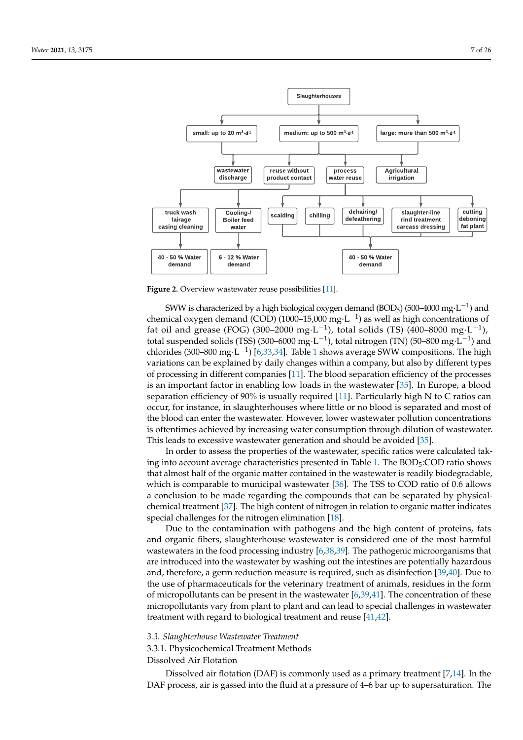<span id="page-6-0"></span>

**Figure 2.** Overview wastewater reuse possibilities [\[11\]](#page-22-10).

[SWW](#page-21-0) is characterized by a high [biological oxygen demand \(BOD](#page-21-4)<sub>5</sub>) (500–4000 mg·L $^{-1}$ ) and [chemical oxygen demand \(COD\)](#page-21-5) (1000–15,000 mg·L<sup>-1</sup>) as well as high concentrations of [fat oil and grease \(FOG\)](#page-21-6) (300–2000 mg·L<sup>-1</sup>), [total solids \(TS\)](#page-21-7) (400–8000 mg·L<sup>-1</sup>), [total suspended solids \(TSS\)](#page-21-8) (300–6000 mg·L<sup>-1</sup>), [total nitrogen \(TN\)](#page-21-9) (50–800 mg·L<sup>-1</sup>) and chlorides (300–800 mg·L<sup>-1</sup>) [\[6](#page-22-5)[,33,](#page-23-10)[34\]](#page-23-11). Table [1](#page-2-0) shows average [SWW](#page-21-0) compositions. The high variations can be explained by daily changes within a company, but also by different types of processing in different companies [\[11\]](#page-22-10). The blood separation efficiency of the processes is an important factor in enabling low loads in the wastewater [\[35\]](#page-23-12). In Europe, a blood separation efficiency of 90% is usually required [\[11\]](#page-22-10). Particularly high N to C ratios can occur, for instance, in slaughterhouses where little or no blood is separated and most of the blood can enter the wastewater. However, lower wastewater pollution concentrations is oftentimes achieved by increasing water consumption through dilution of wastewater. This leads to excessive wastewater generation and should be avoided [\[35\]](#page-23-12).

In order to assess the properties of the wastewater, specific ratios were calculated tak-ing into account average characteristics presented in Table [1.](#page-2-0) The  $BOD<sub>5</sub>: COD$  ratio shows that almost half of the organic matter contained in the wastewater is readily biodegradable, which is comparable to municipal wastewater [\[36\]](#page-23-13). The TSS to COD ratio of 0.6 allows a conclusion to be made regarding the compounds that can be separated by physicalchemical treatment [\[37\]](#page-23-14). The high content of nitrogen in relation to organic matter indicates special challenges for the nitrogen elimination [\[18\]](#page-22-15).

Due to the contamination with pathogens and the high content of proteins, fats and organic fibers, slaughterhouse wastewater is considered one of the most harmful wastewaters in the food processing industry [\[6](#page-22-5)[,38](#page-23-15)[,39\]](#page-23-16). The pathogenic microorganisms that are introduced into the wastewater by washing out the intestines are potentially hazardous and, therefore, a germ reduction measure is required, such as disinfection [\[39,](#page-23-16)[40\]](#page-23-17). Due to the use of pharmaceuticals for the veterinary treatment of animals, residues in the form of micropollutants can be present in the wastewater  $[6,39,41]$  $[6,39,41]$  $[6,39,41]$ . The concentration of these micropollutants vary from plant to plant and can lead to special challenges in wastewater treatment with regard to biological treatment and reuse [\[41](#page-23-18)[,42\]](#page-23-19).

<span id="page-6-2"></span>*3.3. Slaughterhouse Wastewater Treatment*

<span id="page-6-1"></span>3.3.1. Physicochemical Treatment Methods

## Dissolved Air Flotation

[Dissolved air flotation \(DAF\)](#page-21-1) is commonly used as a primary treatment [\[7,](#page-22-6)[14\]](#page-22-12). In the DAF process, air is gassed into the fluid at a pressure of 4–6 bar up to supersaturation. The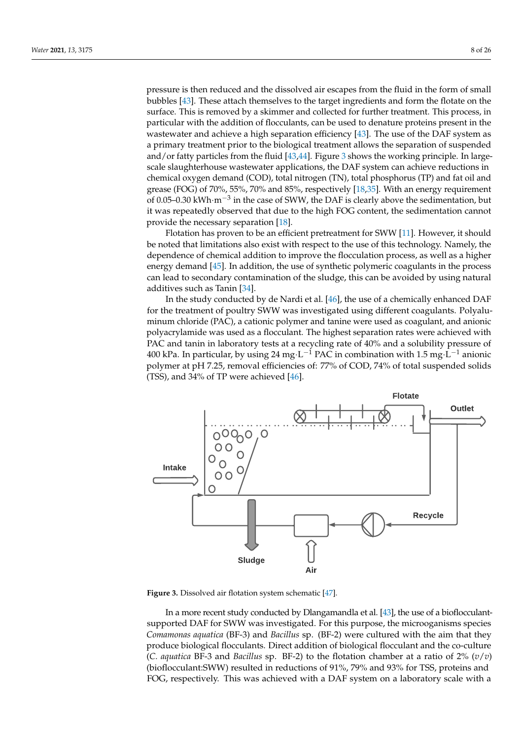pressure is then reduced and the dissolved air escapes from the fluid in the form of small bubbles [\[43\]](#page-23-20). These attach themselves to the target ingredients and form the flotate on the surface. This is removed by a skimmer and collected for further treatment. This process, in particular with the addition of flocculants, can be used to denature proteins present in the wastewater and achieve a high separation efficiency [\[43\]](#page-23-20). The use of the [DAF](#page-21-1) system as a primary treatment prior to the biological treatment allows the separation of suspended and/or fatty particles from the fluid [\[43,](#page-23-20)[44\]](#page-23-21). Figure [3](#page-7-0) shows the working principle. In largescale slaughterhouse wastewater applications, the [DAF](#page-21-1) system can achieve reductions in [chemical oxygen demand \(COD\),](#page-21-5) [total nitrogen \(TN\),](#page-21-9) [total phosphorus \(TP\)](#page-21-10) and [fat oil and](#page-21-6) [grease \(FOG\)](#page-21-6) of 70%, 55%, 70% and 85%, respectively [\[18](#page-22-15)[,35\]](#page-23-12). With an energy requirement of 0.05–0.30 kWh·m<sup>-3</sup> in the case of [SWW,](#page-21-0) the [DAF](#page-21-1) is clearly above the sedimentation, but it was repeatedly observed that due to the high [FOG](#page-21-6) content, the sedimentation cannot provide the necessary separation [\[18\]](#page-22-15).

Flotation has proven to be an efficient pretreatment for [SWW](#page-21-0) [\[11\]](#page-22-10). However, it should be noted that limitations also exist with respect to the use of this technology. Namely, the dependence of chemical addition to improve the flocculation process, as well as a higher energy demand [\[45\]](#page-23-22). In addition, the use of synthetic polymeric coagulants in the process can lead to secondary contamination of the sludge, this can be avoided by using natural additives such as Tanin [\[34\]](#page-23-11).

In the study conducted by de Nardi et al. [\[46\]](#page-23-23), the use of a chemically enhanced DAF for the treatment of poultry [SWW](#page-21-0) was investigated using different coagulants. Polyaluminum chloride (PAC), a cationic polymer and tanine were used as coagulant, and anionic polyacrylamide was used as a flocculant. The highest separation rates were achieved with PAC and tanin in laboratory tests at a recycling rate of 40% and a solubility pressure of 400 kPa. In particular, by using 24 mg·L<sup>-1</sup> PAC in combination with 1.5 mg·L<sup>-1</sup> anionic polymer at pH 7.25, removal efficiencies of: 77% of COD, 74% of [total suspended solids](#page-21-8) [\(TSS\),](#page-21-8) and 34% of [TP](#page-21-10) were achieved [\[46\]](#page-23-23).

<span id="page-7-0"></span>

**Figure 3.** Dissolved air flotation system schematic [\[47\]](#page-23-24).

In a more recent study conducted by Dlangamandla et al. [\[43\]](#page-23-20), the use of a bioflocculantsupported [DAF](#page-21-1) for [SWW](#page-21-0) was investigated. For this purpose, the microoganisms species *Comamonas aquatica* (BF-3) and *Bacillus* sp. (BF-2) were cultured with the aim that they produce biological flocculants. Direct addition of biological flocculant and the co-culture (*C. aquatica* BF-3 and *Bacillus* sp. BF-2) to the flotation chamber at a ratio of 2% (*v*/*v*) (bioflocculant[:SWW\)](#page-21-0) resulted in reductions of 91%, 79% and 93% for [TSS,](#page-21-8) proteins and [FOG,](#page-21-6) respectively. This was achieved with a DAF system on a laboratory scale with a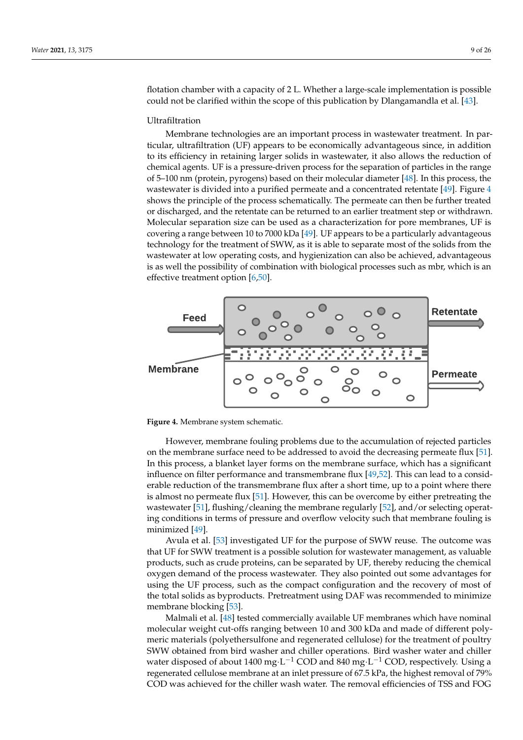flotation chamber with a capacity of 2 L. Whether a large-scale implementation is possible could not be clarified within the scope of this publication by Dlangamandla et al. [\[43\]](#page-23-20).

## Ultrafiltration

Membrane technologies are an important process in wastewater treatment. In particular, [ultrafiltration \(UF\)](#page-21-11) appears to be economically advantageous since, in addition to its efficiency in retaining larger solids in wastewater, it also allows the reduction of chemical agents. [UF](#page-21-11) is a pressure-driven process for the separation of particles in the range of 5–100 nm (protein, pyrogens) based on their molecular diameter [\[48\]](#page-23-25). In this process, the wastewater is divided into a purified permeate and a concentrated retentate  $[49]$ . Figure [4](#page-8-0) shows the principle of the process schematically. The permeate can then be further treated or discharged, and the retentate can be returned to an earlier treatment step or withdrawn. Molecular separation size can be used as a characterization for pore membranes, [UF](#page-21-11) is covering a range between 10 to 7000 kDa [\[49\]](#page-24-0). UF appears to be a particularly advantageous technology for the treatment of SWW, as it is able to separate most of the solids from the wastewater at low operating costs, and hygienization can also be achieved, advantageous is as well the possibility of combination with biological processes such as mbr, which is an effective treatment option [\[6](#page-22-5)[,50\]](#page-24-1).

<span id="page-8-0"></span>

**Figure 4.** Membrane system schematic.

However, membrane fouling problems due to the accumulation of rejected particles on the membrane surface need to be addressed to avoid the decreasing permeate flux [\[51\]](#page-24-2). In this process, a blanket layer forms on the membrane surface, which has a significant influence on filter performance and transmembrane flux [\[49](#page-24-0)[,52\]](#page-24-3). This can lead to a considerable reduction of the transmembrane flux after a short time, up to a point where there is almost no permeate flux [\[51\]](#page-24-2). However, this can be overcome by either pretreating the wastewater [\[51\]](#page-24-2), flushing/cleaning the membrane regularly [\[52\]](#page-24-3), and/or selecting operating conditions in terms of pressure and overflow velocity such that membrane fouling is minimized [\[49\]](#page-24-0).

Avula et al. [\[53\]](#page-24-4) investigated [UF](#page-21-11) for the purpose of [SWW](#page-21-0) reuse. The outcome was that [UF](#page-21-11) for [SWW](#page-21-0) treatment is a possible solution for wastewater management, as valuable products, such as crude proteins, can be separated by [UF,](#page-21-11) thereby reducing the chemical oxygen demand of the process wastewater. They also pointed out some advantages for using the [UF](#page-21-11) process, such as the compact configuration and the recovery of most of the total solids as byproducts. Pretreatment using [DAF](#page-21-1) was recommended to minimize membrane blocking [\[53\]](#page-24-4).

Malmali et al. [\[48\]](#page-23-25) tested commercially available [UF](#page-21-11) membranes which have nominal molecular weight cut-offs ranging between 10 and 300 kDa and made of different polymeric materials (polyethersulfone and regenerated cellulose) for the treatment of poultry SWW obtained from bird washer and chiller operations. Bird washer water and chiller water disposed of about 1400 mg·L<sup>-1</sup> [COD](#page-21-5) and 840 mg·L<sup>-1</sup> [COD,](#page-21-5) respectively. Using a regenerated cellulose membrane at an inlet pressure of 67.5 kPa, the highest removal of 79% [COD](#page-21-5) was achieved for the chiller wash water. The removal efficiencies of [TSS](#page-21-8) and [FOG](#page-21-6)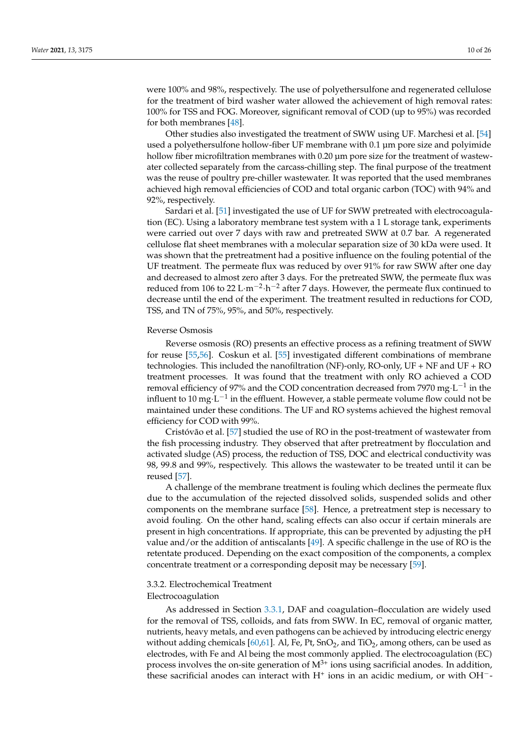were 100% and 98%, respectively. The use of polyethersulfone and regenerated cellulose for the treatment of bird washer water allowed the achievement of high removal rates: 100% for [TSS](#page-21-8) and [FOG.](#page-21-6) Moreover, significant removal of [COD](#page-21-5) (up to 95%) was recorded for both membranes [\[48\]](#page-23-25).

Other studies also investigated the treatment of [SWW](#page-21-0) using [UF.](#page-21-11) Marchesi et al. [\[54\]](#page-24-5) used a polyethersulfone hollow-fiber [UF](#page-21-11) membrane with 0.1 µm pore size and polyimide hollow fiber microfiltration membranes with 0.20  $\mu$ m pore size for the treatment of wastewater collected separately from the carcass-chilling step. The final purpose of the treatment was the reuse of poultry pre-chiller wastewater. It was reported that the used membranes achieved high removal efficiencies of [COD](#page-21-5) and [total organic carbon \(TOC\)](#page-21-12) with 94% and 92%, respectively.

Sardari et al. [\[51\]](#page-24-2) investigated the use of [UF](#page-21-11) for [SWW](#page-21-0) pretreated with [electrocoagula](#page-21-13)[tion \(EC\).](#page-21-13) Using a laboratory membrane test system with a 1 L storage tank, experiments were carried out over 7 days with raw and pretreated [SWW](#page-21-0) at 0.7 bar. A regenerated cellulose flat sheet membranes with a molecular separation size of 30 kDa were used. It was shown that the pretreatment had a positive influence on the fouling potential of the UF treatment. The permeate flux was reduced by over 91% for raw [SWW](#page-21-0) after one day and decreased to almost zero after 3 days. For the pretreated SWW, the permeate flux was reduced from 106 to 22 L·m<sup>-2</sup>·h<sup>-2</sup> after 7 days. However, the permeate flux continued to decrease until the end of the experiment. The treatment resulted in reductions for COD, TSS, and [TN](#page-21-9) of 75%, 95%, and 50%, respectively.

#### Reverse Osmosis

[Reverse osmosis \(RO\)](#page-21-3) presents an effective process as a refining treatment of SWW for reuse [\[55,](#page-24-6)[56\]](#page-24-7). Coskun et al. [\[55\]](#page-24-6) investigated different combinations of membrane technologies. This included the [nanofiltration \(NF\)-](#page-21-14)only, [RO-](#page-21-3)only, [UF](#page-21-11) + [NF](#page-21-14) and UF + RO treatment processes. It was found that the treatment with only [RO](#page-21-3) achieved a [COD](#page-21-5) removal efficiency of 97% and the [COD](#page-21-5) concentration decreased from 7970 mg·L<sup>-1</sup> in the influent to 10 mg $\cdot$ L $^{-1}$  in the effluent. However, a stable permeate volume flow could not be maintained under these conditions. The [UF](#page-21-11) and [RO](#page-21-3) systems achieved the highest removal efficiency for [COD](#page-21-5) with 99%.

Cristóvão et al. [\[57\]](#page-24-8) studied the use of [RO](#page-21-3) in the post-treatment of wastewater from the fish processing industry. They observed that after pretreatment by flocculation and activated sludge (AS) process, the reduction of TSS, DOC and electrical conductivity was 98, 99.8 and 99%, respectively. This allows the wastewater to be treated until it can be reused [\[57\]](#page-24-8).

A challenge of the membrane treatment is fouling which declines the permeate flux due to the accumulation of the rejected dissolved solids, suspended solids and other components on the membrane surface [\[58\]](#page-24-9). Hence, a pretreatment step is necessary to avoid fouling. On the other hand, scaling effects can also occur if certain minerals are present in high concentrations. If appropriate, this can be prevented by adjusting the pH value and/or the addition of antiscalants [\[49\]](#page-24-0). A specific challenge in the use of [RO](#page-21-3) is the retentate produced. Depending on the exact composition of the components, a complex concentrate treatment or a corresponding deposit may be necessary [\[59\]](#page-24-10).

# 3.3.2. Electrochemical Treatment Electrocoagulation

As addressed in Section [3.3.1,](#page-6-1) [DAF](#page-21-1) and coagulation–flocculation are widely used for the removal of [TSS,](#page-21-8) colloids, and fats from [SWW.](#page-21-0) In [EC,](#page-21-13) removal of organic matter, nutrients, heavy metals, and even pathogens can be achieved by introducing electric energy without adding chemicals [\[60,](#page-24-11)[61\]](#page-24-12). Al, Fe, Pt, SnO<sub>2</sub>, and TiO<sub>2</sub>, among others, can be used as electrodes, with Fe and Al being the most commonly applied. The [electrocoagulation \(EC\)](#page-21-13) process involves the on-site generation of  $M^{3+}$  ions using sacrificial anodes. In addition, these sacrificial anodes can interact with  $H^+$  ions in an acidic medium, or with OH<sup>-</sup>-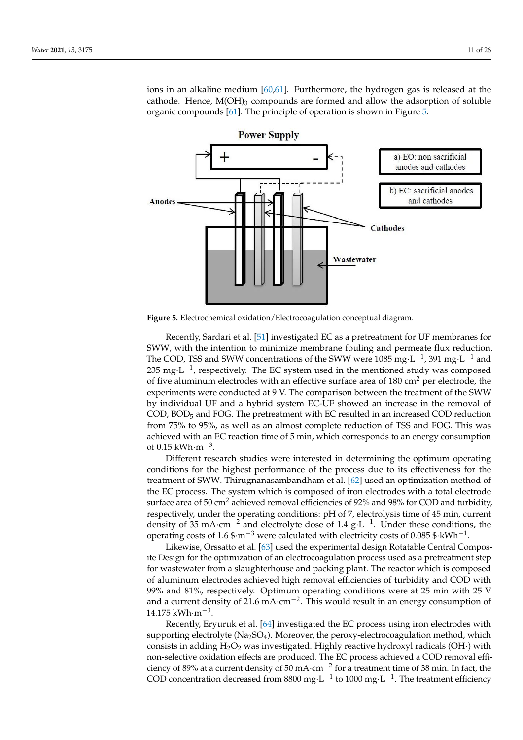ions in an alkaline medium [\[60](#page-24-11)[,61\]](#page-24-12). Furthermore, the hydrogen gas is released at the cathode. Hence,  $M(OH)_{3}$  compounds are formed and allow the adsorption of soluble organic compounds [\[61\]](#page-24-12). The principle of operation is shown in Figure [5.](#page-10-0)

<span id="page-10-0"></span>

**Figure 5.** Electrochemical oxidation/Electrocoagulation conceptual diagram.

Recently, Sardari et al. [\[51\]](#page-24-2) investigated [EC](#page-21-13) as a pretreatment for [UF](#page-21-11) membranes for SWW, with the intention to minimize membrane fouling and permeate flux reduction. The [COD,](#page-21-5) [TSS](#page-21-8) and [SWW](#page-21-0) concentrations of the SWW were 1085 mg $\cdot$ L<sup>-1</sup>, 391 mg $\cdot$ L<sup>-1</sup> and 235 mg⋅L<sup>-1</sup>, respectively. The [EC](#page-21-13) system used in the mentioned study was composed of five aluminum electrodes with an effective surface area of 180 cm<sup>2</sup> per electrode, the experiments were conducted at 9 V. The comparison between the treatment of the [SWW](#page-21-0) by individual [UF](#page-21-11) and a hybrid system [EC-](#page-21-13)[UF](#page-21-11) showed an increase in the removal of  $\text{COD}, \text{BOD}_5$  $\text{COD}, \text{BOD}_5$  $\text{COD}, \text{BOD}_5$  and [FOG.](#page-21-6) The pretreatment with [EC](#page-21-13) resulted in an increased [COD](#page-21-5) reduction from 75% to 95%, as well as an almost complete reduction of [TSS](#page-21-8) and [FOG.](#page-21-6) This was achieved with an [EC](#page-21-13) reaction time of 5 min, which corresponds to an energy consumption of 0.15 kWh·m<sup>-3</sup>.

Different research studies were interested in determining the optimum operating conditions for the highest performance of the process due to its effectiveness for the treatment of [SWW.](#page-21-0) Thirugnanasambandham et al. [\[62\]](#page-24-13) used an optimization method of the [EC](#page-21-13) process. The system which is composed of iron electrodes with a total electrode surface area of 50 cm<sup>2</sup> achieved removal efficiencies of 92% and 98% for [COD](#page-21-5) and turbidity, respectively, under the operating conditions: pH of 7, electrolysis time of 45 min, current density of 35 mA·cm<sup>-2</sup> and electrolyte dose of 1.4  $g \cdot L^{-1}$ . Under these conditions, the operating costs of 1.6  $\text{\$·m}^{-3}$  were calculated with electricity costs of 0.085  $\text{\$·kWh}^{-1}$ .

Likewise, Orssatto et al. [\[63\]](#page-24-14) used the experimental design Rotatable Central Composite Design for the optimization of an electrocoagulation process used as a pretreatment step for wastewater from a slaughterhouse and packing plant. The reactor which is composed of aluminum electrodes achieved high removal efficiencies of turbidity and [COD](#page-21-5) with 99% and 81%, respectively. Optimum operating conditions were at 25 min with 25 V and a current density of 21.6 mA⋅cm<sup>-2</sup>. This would result in an energy consumption of 14.175 kWh·m−<sup>3</sup> .

Recently, Eryuruk et al. [\[64\]](#page-24-15) investigated the [EC](#page-21-13) process using iron electrodes with supporting electrolyte  $(Na<sub>2</sub>SO<sub>4</sub>)$ . Moreover, the peroxy-electrocoagulation method, which consists in adding  $H_2O_2$  was investigated. Highly reactive hydroxyl radicals (OH·) with non-selective oxidation effects are produced. The [EC](#page-21-13) process achieved a [COD](#page-21-5) removal efficiency of 89% at a current density of 50 mA·cm<sup>-2</sup> for a treatment time of 38 min. In fact, the [COD](#page-21-5) concentration decreased from 8800 mg⋅L<sup>-1</sup> to 1000 mg⋅L<sup>-1</sup>. The treatment efficiency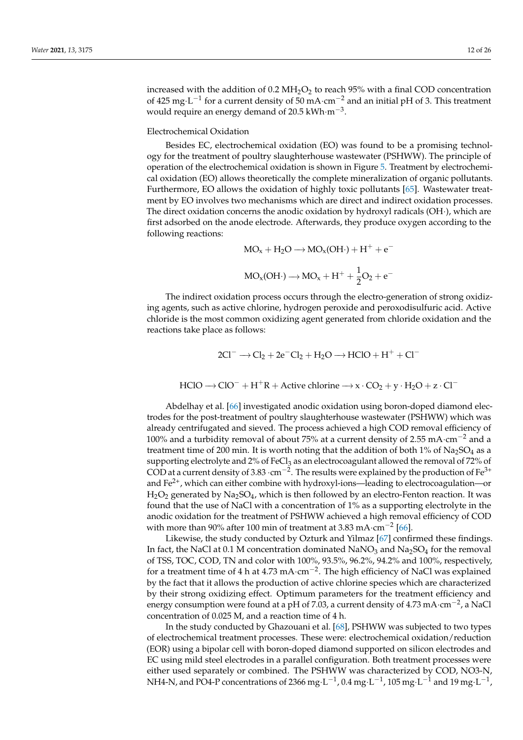increased with the addition of  $0.2 \text{ MHzO}_2$  to reach 95% with a final [COD](#page-21-5) concentration of 425 mg⋅L<sup>-1</sup> for a current density of 50 mA⋅cm<sup>-2</sup> and an initial pH of 3. This treatment would require an energy demand of 20.5 kWh·m<sup>-3</sup>.

#### Electrochemical Oxidation

Besides [EC,](#page-21-13) [electrochemical oxidation \(EO\)](#page-21-15) was found to be a promising technology for the treatment of [poultry slaughterhouse wastewater \(PSHWW\).](#page-21-16) The principle of operation of the electrochemical oxidation is shown in Figure [5.](#page-10-0) Treatment by [electrochemi](#page-21-15)[cal oxidation \(EO\)](#page-21-15) allows theoretically the complete mineralization of organic pollutants. Furthermore, [EO](#page-21-15) allows the oxidation of highly toxic pollutants [\[65\]](#page-24-16). Wastewater treatment by [EO](#page-21-15) involves two mechanisms which are direct and indirect oxidation processes. The direct oxidation concerns the anodic oxidation by hydroxyl radicals (OH·), which are first adsorbed on the anode electrode. Afterwards, they produce oxygen according to the following reactions:

$$
MO_x + H_2O \longrightarrow MO_x(OH \cdot) + H^+ + e^-
$$
  

$$
MO_x(OH \cdot) \longrightarrow MO_x + H^+ + \frac{1}{2}O_2 + e^-
$$

The indirect oxidation process occurs through the electro-generation of strong oxidizing agents, such as active chlorine, hydrogen peroxide and peroxodisulfuric acid. Active chloride is the most common oxidizing agent generated from chloride oxidation and the reactions take place as follows:

$$
2Cl^- \longrightarrow Cl_2 + 2e^-Cl_2 + H_2O \longrightarrow HClO + H^+ + Cl^-
$$

$$
HClO \rightarrow ClO^- + H^+R + Active \text{ chlorine} \rightarrow x \cdot CO_2 + y \cdot H_2O + z \cdot Cl^-
$$

Abdelhay et al. [\[66\]](#page-24-17) investigated anodic oxidation using boron-doped diamond electrodes for the post-treatment of [poultry slaughterhouse wastewater \(PSHWW\)](#page-21-16) which was already centrifugated and sieved. The process achieved a high [COD](#page-21-5) removal efficiency of 100% and a turbidity removal of about 75% at a current density of 2.55 mA $\cdot$ cm<sup>-2</sup> and a treatment time of 200 min. It is worth noting that the addition of both 1% of  $Na<sub>2</sub>SO<sub>4</sub>$  as a supporting electrolyte and 2% of FeCl<sub>3</sub> as an electrocoagulant allowed the removal of 72% of [COD](#page-21-5) at a current density of 3.83  $\cdot$ cm<sup>-2</sup>. The results were explained by the production of Fe<sup>3+</sup> and  $\text{Fe}^{2+}$ , which can either combine with hydroxyl-ions—leading to electrocoagulation—or  $H_2O_2$  generated by Na<sub>2</sub>SO<sub>4</sub>, which is then followed by an electro-Fenton reaction. It was found that the use of NaCl with a concentration of 1% as a supporting electrolyte in the anodic oxidation for the treatment of [PSHWW](#page-21-16) achieved a high removal efficiency of [COD](#page-21-5) with more than 90% after 100 min of treatment at 3.83 mA $\cdot$ cm<sup>-2</sup> [\[66\]](#page-24-17).

Likewise, the study conducted by Ozturk and Yilmaz [\[67\]](#page-24-18) confirmed these findings. In fact, the NaCl at 0.1 M concentration dominated  $\text{NaNO}_3$  and  $\text{Na}_2\text{SO}_4$  for the removal of [TSS,](#page-21-8) [TOC,](#page-21-12) [COD,](#page-21-5) [TN](#page-21-9) and color with 100%, 93.5%, 96.2%, 94.2% and 100%, respectively, for a treatment time of 4 h at 4.73 mA·cm<sup>-2</sup>. The high efficiency of NaCl was explained by the fact that it allows the production of active chlorine species which are characterized by their strong oxidizing effect. Optimum parameters for the treatment efficiency and energy consumption were found at a pH of 7.03, a current density of 4.73 mA·cm<sup>-2</sup>, a NaCl concentration of 0.025 M, and a reaction time of 4 h.

In the study conducted by Ghazouani et al. [\[68\]](#page-24-19), [PSHWW](#page-21-16) was subjected to two types of electrochemical treatment processes. These were: [electrochemical oxidation/reduction](#page-21-17) [\(EOR\)](#page-21-17) using a bipolar cell with boron-doped diamond supported on silicon electrodes and EC using mild steel electrodes in a parallel configuration. Both treatment processes were either used separately or combined. The [PSHWW](#page-21-16) was characterized by [COD,](#page-21-5) NO3-N, NH4-N, and PO4-P concentrations of 2366 mg·L $^{-1}$ , 0.4 mg·L $^{-1}$ , 105 mg·L $^{-1}$  and 19 mg·L $^{-1}$ ,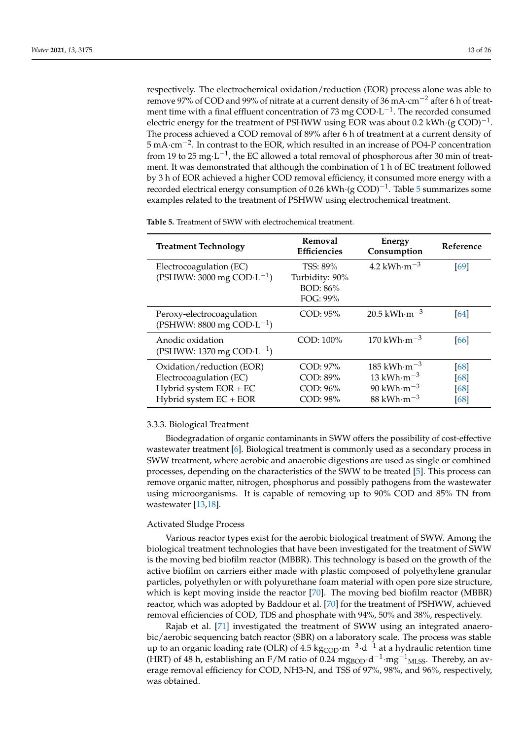respectively. The [electrochemical oxidation/reduction \(EOR\)](#page-21-17) process alone was able to remove 97% of [COD](#page-21-5) and 99% of nitrate at a current density of 36 mA·cm<sup>-2</sup> after 6 h of treatment time with a final effluent concentration of 73 mg  $\text{COD} \cdot \text{L}^{-1}$ . The recorded consumed electric energy for the treatment of [PSHWW](#page-21-16) using [EOR](#page-21-17) was about 0.2 kWh $\cdot$ (g COD)<sup>-1</sup>. The process achieved a [COD](#page-21-5) removal of 89% after 6 h of treatment at a current density of 5 mA·cm−<sup>2</sup> . In contrast to the [EOR,](#page-21-17) which resulted in an increase of PO4-P concentration from 19 to 25 mg $\cdot$ L<sup>-1</sup>, the [EC](#page-21-13) allowed a total removal of phosphorous after 30 min of treatment. It was demonstrated that although the combination of 1 h of [EC](#page-21-13) treatment followed by 3 h of [EOR](#page-21-17) achieved a higher [COD](#page-21-5) removal efficiency, it consumed more energy with a recorded electrical energy consumption of 0.26 kWh⋅(g COD)<sup>-1</sup>. Table [5](#page-12-0) summarizes some examples related to the treatment of [PSHWW](#page-21-16) using electrochemical treatment.

<span id="page-12-0"></span>**Table 5.** Treatment of SWW with electrochemical treatment.

| <b>Treatment Technology</b>                                                                              | Removal<br><b>Efficiencies</b>                        | Energy<br>Consumption                                                                                         | Reference                |
|----------------------------------------------------------------------------------------------------------|-------------------------------------------------------|---------------------------------------------------------------------------------------------------------------|--------------------------|
| Electrocoagulation (EC)<br>(PSHWW: 3000 mg COD· $L^{-1}$ )                                               | TSS: 89%<br>Turbidity: 90%<br>BOD: 86%<br>$FOG: 99\%$ | 4.2 kWh $\cdot$ m $^{-3}$                                                                                     | [69]                     |
| Peroxy-electrocoagulation<br>(PSHWW: 8800 mg COD·L <sup>-1</sup> )                                       | $COD: 95\%$                                           | $20.5 \text{ kWh} \cdot \text{m}^{-3}$                                                                        | 64                       |
| Anodic oxidation<br>(PSHWW: 1370 mg COD·L <sup>-1</sup> )                                                | COD: 100%                                             | 170 kWh $\cdot$ m $^{-3}$                                                                                     | 66                       |
| Oxidation/reduction (EOR)<br>Electrocoagulation (EC)<br>Hybrid system EOR + EC<br>Hybrid system EC + EOR | COD: 97%<br>COD: 89%<br>COD: 96%<br>COD: 98%          | 185 kWh $\cdot$ m $^{-3}$<br>13 kWh $\cdot$ m $^{-3}$<br>90 kWh $\cdot$ m $^{-3}$<br>88 kWh $\cdot$ m $^{-3}$ | 68<br>[68]<br>[68]<br>68 |

#### 3.3.3. Biological Treatment

Biodegradation of organic contaminants in [SWW](#page-21-0) offers the possibility of cost-effective wastewater treatment [\[6\]](#page-22-5). Biological treatment is commonly used as a secondary process in [SWW](#page-21-0) treatment, where aerobic and anaerobic digestions are used as single or combined processes, depending on the characteristics of the [SWW](#page-21-0) to be treated [\[5\]](#page-22-4). This process can remove organic matter, nitrogen, phosphorus and possibly pathogens from the wastewater using microorganisms. It is capable of removing up to 90% COD and 85% TN from wastewater [\[13](#page-22-24)[,18\]](#page-22-15).

#### Activated Sludge Process

Various reactor types exist for the aerobic biological treatment of SWW. Among the biological treatment technologies that have been investigated for the treatment of [SWW](#page-21-0) is the [moving bed biofilm reactor \(MBBR\).](#page-21-18) This technology is based on the growth of the active biofilm on carriers either made with plastic composed of polyethylene granular particles, polyethylen or with polyurethane foam material with open pore size structure, which is kept moving inside the reactor [\[70\]](#page-24-21). The [moving bed biofilm reactor \(MBBR\)](#page-21-18) reactor, which was adopted by Baddour et al. [\[70\]](#page-24-21) for the treatment of [PSHWW,](#page-21-16) achieved removal efficiencies of COD, TDS and phosphate with 94%, 50% and 38%, respectively.

Rajab et al. [\[71\]](#page-24-22) investigated the treatment of [SWW](#page-21-0) using an integrated anaerobic/aerobic [sequencing batch reactor \(SBR\)](#page-21-19) on a laboratory scale. The process was stable up to an [organic loading rate \(OLR\)](#page-21-20) of  $4.5 \ \text{kg}_{\text{COD}} \cdot \text{m}^{-3} \cdot \text{d}^{-1}$  at a [hydraulic retention time](#page-21-21) [\(HRT\)](#page-21-21) of 48 h, establishing an F/M ratio of 0.24 mg<sub>BOD</sub> d<sup>-1</sup> mg<sup>-1</sup><sub>MLSS</sub>. Thereby, an average removal efficiency for [COD,](#page-21-5) NH3-N, and [TSS](#page-21-8) of 97%, 98%, and 96%, respectively, was obtained.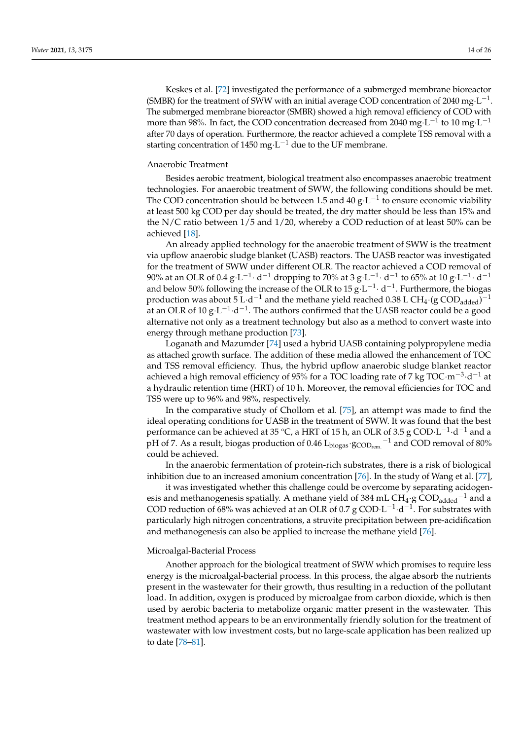Keskes et al. [\[72\]](#page-24-23) investigated the performance of a [submerged membrane bioreactor](#page-21-22) [\(SMBR\)](#page-21-22) for the treatment of [SWW](#page-21-0) with an initial average [COD](#page-21-5) concentration of 2040 mg·L<sup>-1</sup>. The [submerged membrane bioreactor \(SMBR\)](#page-21-22) showed a high removal efficiency of COD with more than 98%. In fact, the COD concentration decreased from 2040 mg·L $^{-1}$  to 10 mg·L $^{-1}$ after 70 days of operation. Furthermore, the reactor achieved a complete TSS removal with a starting concentration of 1450 mg $\cdot$ L $^{-1}$  due to the [UF](#page-21-11) membrane.

## Anaerobic Treatment

Besides aerobic treatment, biological treatment also encompasses anaerobic treatment technologies. For anaerobic treatment of [SWW,](#page-21-0) the following conditions should be met. The COD concentration should be between 1.5 and 40  $g \cdot L^{-1}$  to ensure economic viability at least 500 kg COD per day should be treated, the dry matter should be less than 15% and the N/C ratio between 1/5 and 1/20, whereby a COD reduction of at least 50% can be achieved [\[18\]](#page-22-15).

An already applied technology for the anaerobic treatment of [SWW](#page-21-0) is the treatment via [upflow anaerobic sludge blanket \(UASB\)](#page-21-23) reactors. The [UASB](#page-21-23) reactor was investigated for the treatment of [SWW](#page-21-0) under different [OLR.](#page-21-20) The reactor achieved a COD removal of 90% at an [OLR](#page-21-20) of 0.4  $\rm g\cdot L^{-1}\cdot d^{-1}$  dropping to 70% at 3  $\rm g\cdot L^{-1}\cdot d^{-1}$  to 65% at 10  $\rm g\cdot L^{-1}\cdot d^{-1}$ and below 50% following the increase of the [OLR](#page-21-20) to  $15 \text{ g} \cdot \text{L}^{-1} \cdot \text{d}^{-1}$ . Furthermore, the biogas production was about 5 L·d<sup>-1</sup> and the methane yield reached 0.38 L CH<sub>4</sub>·(g COD<sub>added</sub>)<sup>-1</sup> at an [OLR](#page-21-20) of 10  $g \cdot L^{-1} \cdot d^{-1}$ . The authors confirmed that the [UASB](#page-21-23) reactor could be a good alternative not only as a treatment technology but also as a method to convert waste into energy through methane production [\[73\]](#page-24-24).

Loganath and Mazumder [\[74\]](#page-24-25) used a hybrid [UASB](#page-21-23) containing polypropylene media as attached growth surface. The addition of these media allowed the enhancement of TOC and [TSS](#page-21-8) removal efficiency. Thus, the hybrid upflow anaerobic sludge blanket reactor achieved a high removal efficiency of 95% for a [TOC](#page-21-12) loading rate of 7 kg TOC·m<sup>-3</sup>·d<sup>-1</sup> at a [hydraulic retention time \(HRT\)](#page-21-21) of 10 h. Moreover, the removal efficiencies for [TOC](#page-21-12) and TSS were up to 96% and 98%, respectively.

In the comparative study of Chollom et al. [\[75\]](#page-25-0), an attempt was made to find the ideal operating conditions for UASB in the treatment of SWW. It was found that the best performance can be achieved at 35 °C, a [HRT](#page-21-21) of 15 h, an [OLR](#page-21-20) of 3.5 g COD·L<sup>-1</sup>·d<sup>-1</sup> and a pH of 7. As a result, biogas production of 0.46  ${\rm L_{biogas}}$   ${\rm 'S{CO{D_{rem.}}}}^{-1}$  and COD removal of 80% could be achieved.

In the anaerobic fermentation of protein-rich substrates, there is a risk of biological inhibition due to an increased amonium concentration [\[76\]](#page-25-1). In the study of Wang et al. [\[77\]](#page-25-2),

it was investigated whether this challenge could be overcome by separating acidogenesis and methanogenesis spatially. A methane yield of 384 mL CH<sub>4</sub>·g COD<sub>added</sub><sup>-1</sup> and a COD reduction of 68% was achieved at an [OLR](#page-21-20) of 0.7 g COD $\cdot$ L<sup>-1</sup> $\cdot$ d<sup>-1</sup>. For substrates with particularly high nitrogen concentrations, a struvite precipitation between pre-acidification and methanogenesis can also be applied to increase the methane yield [\[76\]](#page-25-1).

#### Microalgal-Bacterial Process

Another approach for the biological treatment of SWW which promises to require less energy is the microalgal-bacterial process. In this process, the algae absorb the nutrients present in the wastewater for their growth, thus resulting in a reduction of the pollutant load. In addition, oxygen is produced by microalgae from carbon dioxide, which is then used by aerobic bacteria to metabolize organic matter present in the wastewater. This treatment method appears to be an environmentally friendly solution for the treatment of wastewater with low investment costs, but no large-scale application has been realized up to date [\[78](#page-25-3)[–81\]](#page-25-4).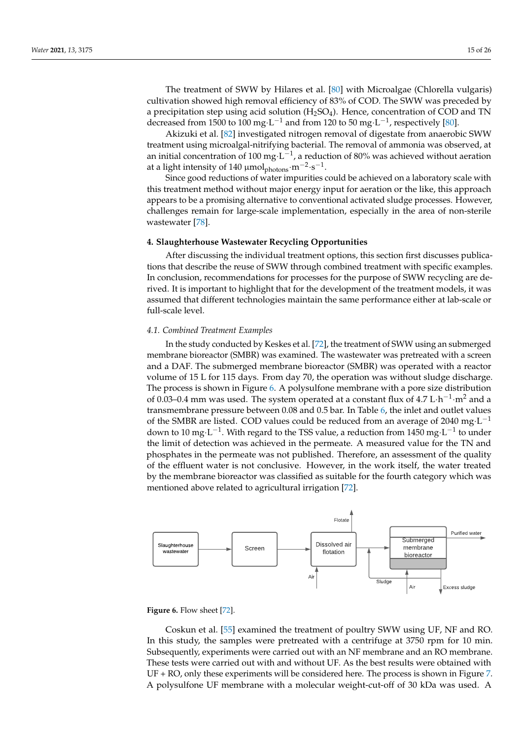The treatment of [SWW](#page-21-0) by Hilares et al. [\[80\]](#page-25-5) with Microalgae (Chlorella vulgaris) cultivation showed high removal efficiency of 83% of [COD.](#page-21-5) The [SWW](#page-21-0) was preceded by a precipitation step using acid solution  $(H<sub>2</sub>SO<sub>4</sub>)$ . Hence, concentration of [COD](#page-21-5) and [TN](#page-21-9) decreased from 1500 to 100 mg·L<sup>-1</sup> and from 120 to 50 mg·L<sup>-1</sup>, respectively [\[80\]](#page-25-5).

Akizuki et al. [\[82\]](#page-25-6) investigated nitrogen removal of digestate from anaerobic [SWW](#page-21-0) treatment using microalgal-nitrifying bacterial. The removal of ammonia was observed, at an initial concentration of 100 mg $\cdot$ L $^{-1}$ , a reduction of 80% was achieved without aeration at a light intensity of 140 µmol $_{\rm photons}$  ·m $^{-2}$ ·s $^{-1}$ .

Since good reductions of water impurities could be achieved on a laboratory scale with this treatment method without major energy input for aeration or the like, this approach appears to be a promising alternative to conventional activated sludge processes. However, challenges remain for large-scale implementation, especially in the area of non-sterile wastewater [\[78\]](#page-25-3).

#### **4. Slaughterhouse Wastewater Recycling Opportunities**

After discussing the individual treatment options, this section first discusses publications that describe the reuse of [SWW](#page-21-0) through combined treatment with specific examples. In conclusion, recommendations for processes for the purpose of [SWW](#page-21-0) recycling are derived. It is important to highlight that for the development of the treatment models, it was assumed that different technologies maintain the same performance either at lab-scale or full-scale level.

## *4.1. Combined Treatment Examples*

In the study conducted by Keskes et al. [\[72\]](#page-24-23), the treatment of [SWW](#page-21-0) using an submerged membrane bioreactor [\(SMBR\)](#page-21-22) was examined. The wastewater was pretreated with a screen and a [DAF.](#page-21-1) The [submerged membrane bioreactor \(SMBR\)](#page-21-22) was operated with a reactor volume of 15 L for 115 days. From day 70, the operation was without sludge discharge. The process is shown in Figure [6.](#page-14-0) A polysulfone membrane with a pore size distribution of 0.03–0.4 mm was used. The system operated at a constant flux of  $4.7 L \cdot h^{-1} \cdot m^2$  and a transmembrane pressure between 0.08 and 0.5 bar. In Table [6,](#page-16-0) the inlet and outlet values of the [SMBR](#page-21-22) are listed. [COD](#page-21-5) values could be reduced from an average of 2040  $mg·L^{-1}$ down to 10 mg $\cdot$ L $^{-1}$ . With regard to the TSS value, a reduction from 1450 mg $\cdot$ L $^{-1}$  to under the limit of detection was achieved in the permeate. A measured value for the TN and phosphates in the permeate was not published. Therefore, an assessment of the quality of the effluent water is not conclusive. However, in the work itself, the water treated by the membrane bioreactor was classified as suitable for the fourth category which was mentioned above related to agricultural irrigation [\[72\]](#page-24-23).

<span id="page-14-0"></span>

#### **Figure 6.** Flow sheet [\[72\]](#page-24-23).

Coskun et al. [\[55\]](#page-24-6) examined the treatment of poultry [SWW](#page-21-0) using [UF,](#page-21-11) [NF](#page-21-14) and [RO.](#page-21-3) In this study, the samples were pretreated with a centrifuge at 3750 rpm for 10 min. Subsequently, experiments were carried out with an [NF](#page-21-14) membrane and an [RO](#page-21-3) membrane. These tests were carried out with and without [UF.](#page-21-11) As the best results were obtained with UF + [RO,](#page-21-3) only these experiments will be considered here. The process is shown in Figure [7.](#page-15-0) A polysulfone [UF](#page-21-11) membrane with a molecular weight-cut-off of 30 kDa was used. A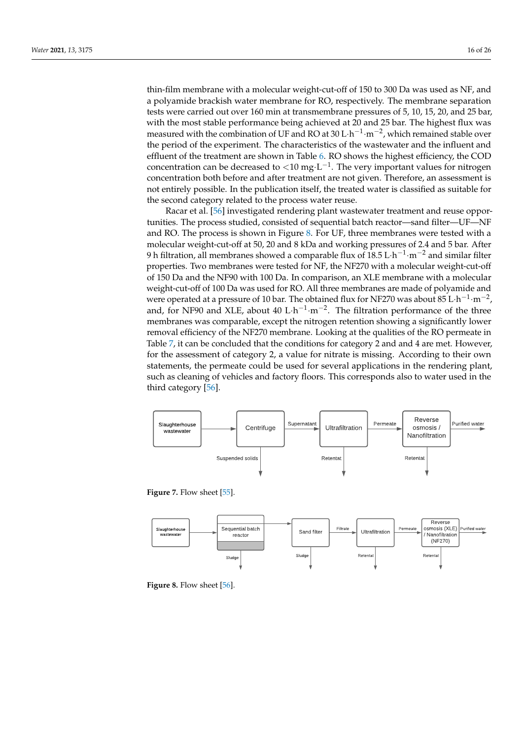thin-film membrane with a molecular weight-cut-off of 150 to 300 Da was used as [NF,](#page-21-14) and a polyamide brackish water membrane for [RO,](#page-21-3) respectively. The membrane separation tests were carried out over 160 min at transmembrane pressures of 5, 10, 15, 20, and 25 bar, with the most stable performance being achieved at 20 and 25 bar. The highest flux was measured with the combination of [UF](#page-21-11) and [RO](#page-21-3) at 30 L·h<sup>-1</sup>·m<sup>-2</sup>, which remained stable over the period of the experiment. The characteristics of the wastewater and the influent and effluent of the treatment are shown in Table [6.](#page-16-0) [RO](#page-21-3) shows the highest efficiency, the COD concentration can be decreased to <10 mg·L<sup>-1</sup>. The very important values for nitrogen concentration both before and after treatment are not given. Therefore, an assessment is not entirely possible. In the publication itself, the treated water is classified as suitable for the second category related to the process water reuse.

Racar et al. [\[56\]](#page-24-7) investigated rendering plant wastewater treatment and reuse opportunities. The process studied, consisted of sequential batch reactor—sand filter[—UF](#page-21-11)[—NF](#page-21-14) and [RO.](#page-21-3) The process is shown in Figure [8.](#page-15-1) For [UF,](#page-21-11) three membranes were tested with a molecular weight-cut-off at 50, 20 and 8 kDa and working pressures of 2.4 and 5 bar. After 9 h filtration, all membranes showed a comparable flux of 18.5  $\rm L\cdot h^{-1}\cdot m^{-2}$  and similar filter properties. Two membranes were tested for [NF,](#page-21-14) the NF270 with a molecular weight-cut-off of 150 Da and the NF90 with 100 Da. In comparison, an XLE membrane with a molecular weight-cut-off of 100 Da was used for [RO.](#page-21-3) All three membranes are made of polyamide and were operated at a pressure of 10 bar. The obtained flux for NF270 was about  $85 \text{ L} \cdot \text{h}^{-1} \cdot \text{m}^{-2}$ , and, for NF90 and XLE, about 40  $L \cdot h^{-1} \cdot m^{-2}$ . The filtration performance of the three membranes was comparable, except the nitrogen retention showing a significantly lower removal efficiency of the NF270 membrane. Looking at the qualities of the [RO](#page-21-3) permeate in Table [7,](#page-17-0) it can be concluded that the conditions for category 2 and and 4 are met. However, for the assessment of category 2, a value for nitrate is missing. According to their own statements, the permeate could be used for several applications in the rendering plant, such as cleaning of vehicles and factory floors. This corresponds also to water used in the third category [\[56\]](#page-24-7).

<span id="page-15-0"></span>

**Figure 7.** Flow sheet [\[55\]](#page-24-6).

<span id="page-15-1"></span>

**Figure 8.** Flow sheet [\[56\]](#page-24-7).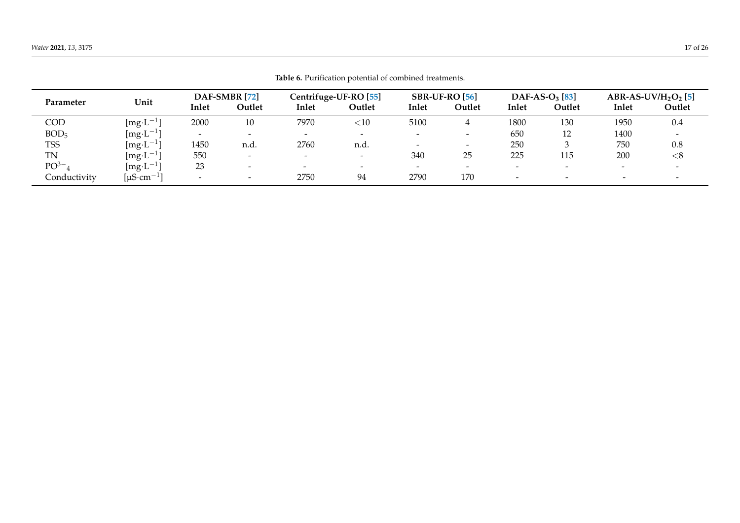<span id="page-16-0"></span>

|                   |                            |                          |                          |                          | <b>Table 6.</b> Purification potential of combined treatments. |                          |       |                   |       |                         |        |
|-------------------|----------------------------|--------------------------|--------------------------|--------------------------|----------------------------------------------------------------|--------------------------|-------|-------------------|-------|-------------------------|--------|
|                   |                            | DAF-SMBR [72]            |                          | Centrifuge-UF-RO [55]    |                                                                | $SBR-UF-RO[56]$          |       | DAF-AS- $O3$ [83] |       | ABR-AS-UV/ $H_2O_2$ [5] |        |
| Unit<br>Parameter | Inlet                      | Outlet                   | Inlet                    | Outlet                   | Inlet                                                          | Outlet                   | Inlet | Outlet            | Inlet | Outlet                  |        |
| COD               | $[\text{mg-L}^{-1}]$       | 2000                     | 10                       | 7970                     | $<$ 10                                                         | 5100                     |       | 1800              | 130   | 1950                    | 0.4    |
| BOD <sub>5</sub>  | [mg·L $^{-1}$              |                          |                          | $\overline{\phantom{0}}$ | $\overline{\phantom{0}}$                                       | $\overline{\phantom{0}}$ |       | 650               | 12    | 1400                    |        |
| <b>TSS</b>        | $[\text{mg-L}^{-1}]$       | 1450                     | n.d.                     | 2760                     | n.d.                                                           | $\overline{\phantom{0}}$ |       | 250               |       | 750                     | 0.8    |
| <b>TN</b>         | $[\rm{mg}\cdot L^{-1}]$    | 550                      |                          | $\overline{\phantom{0}}$ | $\overline{\phantom{a}}$                                       | 340                      | 25    | 225               | 115   | 200                     | ${<}8$ |
| PO <sup>3–</sup>  | $[\rm{mg}\cdot L^{-1}]$    | 23                       | $\overline{\phantom{a}}$ | $\overline{\phantom{0}}$ | $\overline{\phantom{0}}$                                       | $\overline{\phantom{0}}$ |       | -                 |       |                         |        |
| Conductivity      | [ $\mu$ S·cm <sup>-1</sup> | $\overline{\phantom{0}}$ | $\overline{\phantom{a}}$ | 2750                     | 94                                                             | 2790                     | 170   | -                 |       |                         |        |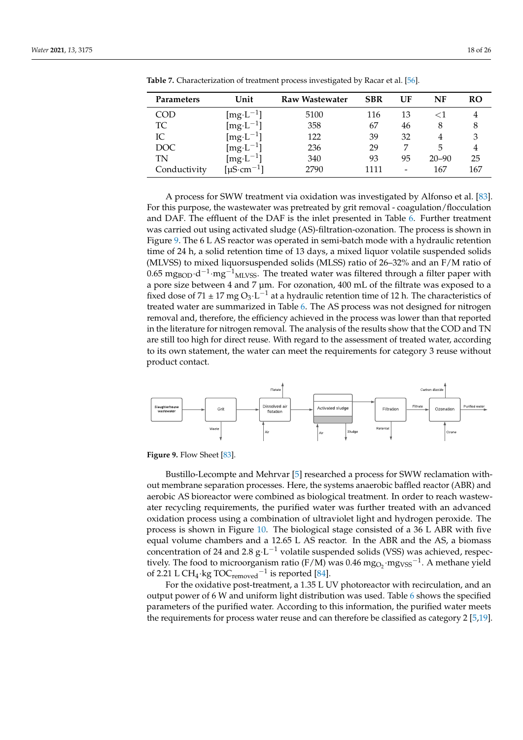| Parameters   | Unit                         | <b>Raw Wastewater</b> | <b>SBR</b> | UF | NF        | RO  |
|--------------|------------------------------|-----------------------|------------|----|-----------|-----|
| <b>COD</b>   | [mg·L $^{-1}$ ]              | 5100                  | 116        | 13 | $<\!1$    |     |
| TC           | [mg·L <sup>-1</sup> ]        | 358                   | 67         | 46 | 8         | 8   |
| IС           | [mg·L <sup>-1</sup> ]        | 122                   | 39         | 32 | 4         |     |
| DOC          | [ $mg \cdot L^{-1}$ ]        | 236                   | 29         |    | 5         |     |
| TN           | $[mg \cdot L^{-1}]$          | 340                   | 93         | 95 | $20 - 90$ | 25  |
| Conductivity | [ $\mu$ S·cm <sup>-1</sup> ] | 2790                  | 1111       |    | 167       | 167 |

<span id="page-17-0"></span>**Table 7.** Characterization of treatment process investigated by Racar et al. [\[56\]](#page-24-7).

A process for [SWW](#page-21-0) treatment via oxidation was investigated by Alfonso et al. [\[83\]](#page-25-8). For this purpose, the wastewater was pretreated by grit removal - coagulation/flocculation and [DAF.](#page-21-1) The effluent of the [DAF](#page-21-1) is the inlet presented in Table [6.](#page-16-0) Further treatment was carried out using [activated sludge \(AS\)-](#page-21-24)filtration-ozonation. The process is shown in Figure [9.](#page-17-1) The 6 L [AS](#page-21-24) reactor was operated in semi-batch mode with a hydraulic retention time of 24 h, a solid retention time of 13 days, a [mixed liquor volatile suspended solids](#page-21-25) [\(MLVSS\)](#page-21-25) to [mixed liquorsuspended solids \(MLSS\)](#page-21-26) ratio of 26–32% and an F/M ratio of 0.65 mg<sub>BOD</sub>·d<sup>-1</sup>·mg<sup>-1</sup><sub>MLVSS</sub>. The treated water was filtered through a filter paper with a pore size between 4 and 7 µm. For ozonation, 400 mL of the filtrate was exposed to a fixed dose of 71  $\pm$  17 mg O<sub>3</sub>·L<sup>-1</sup> at a hydraulic retention time of 12 h. The characteristics of treated water are summarized in Table [6.](#page-16-0) The [AS](#page-21-24) process was not designed for nitrogen removal and, therefore, the efficiency achieved in the process was lower than that reported in the literature for nitrogen removal. The analysis of the results show that the [COD](#page-21-5) and [TN](#page-21-9) are still too high for direct reuse. With regard to the assessment of treated water, according to its own statement, the water can meet the requirements for category 3 reuse without product contact.

<span id="page-17-1"></span>

**Figure 9.** Flow Sheet [\[83\]](#page-25-8).

Bustillo-Lecompte and Mehrvar [\[5\]](#page-22-4) researched a process for [SWW](#page-21-0) reclamation without membrane separation processes. Here, the systems [anaerobic baffled reactor \(ABR\)](#page-21-27) and aerobic [AS](#page-21-24) bioreactor were combined as biological treatment. In order to reach wastewater recycling requirements, the purified water was further treated with an advanced oxidation process using a combination of ultraviolet light and hydrogen peroxide. The process is shown in Figure [10.](#page-18-0) The biological stage consisted of a 36 L [ABR](#page-21-27) with five equal volume chambers and a 12.65 L [AS](#page-21-24) reactor. In the [ABR](#page-21-27) and the [AS,](#page-21-24) a biomass concentration of 24 and 2.8  $g \cdot L^{-1}$  [volatile suspended solids \(VSS\)](#page-21-28) was achieved, respectively. The food to microorganism ratio (F/M) was 0.46  $mg_{O_2}$  mg<sub>VSS</sub><sup>-1</sup>. A methane yield of 2.21 L CH<sub>4</sub>·kg TOC<sub>removed</sub><sup>-1</sup> is reported [\[84\]](#page-25-9).

For the oxidative post-treatment, a 1.35 L UV photoreactor with recirculation, and an output power of 6 W and uniform light distribution was used. Table [6](#page-16-0) shows the specified parameters of the purified water. According to this information, the purified water meets the requirements for process water reuse and can therefore be classified as category 2 [\[5](#page-22-4)[,19\]](#page-22-16).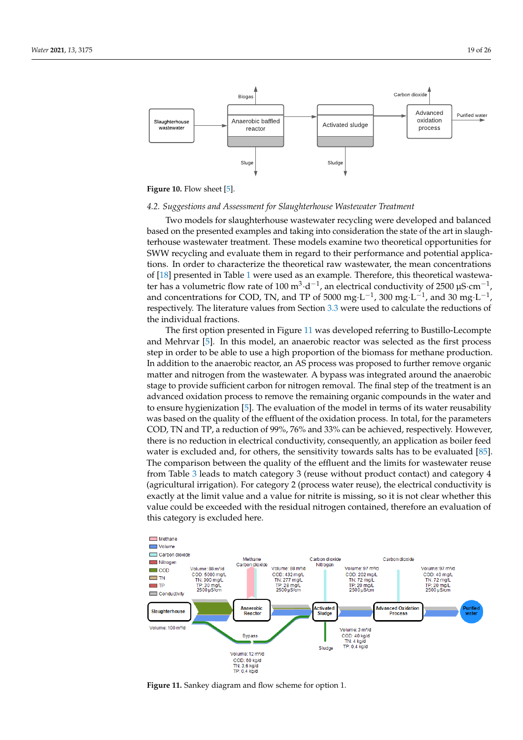<span id="page-18-0"></span>

**Figure 10.** Flow sheet [\[5\]](#page-22-4).

## *4.2. Suggestions and Assessment for Slaughterhouse Wastewater Treatment*

Two models for slaughterhouse wastewater recycling were developed and balanced based on the presented examples and taking into consideration the state of the art in slaughterhouse wastewater treatment. These models examine two theoretical opportunities for SWW recycling and evaluate them in regard to their performance and potential applications. In order to characterize the theoretical raw wastewater, the mean concentrations of [\[18\]](#page-22-15) presented in Table [1](#page-2-0) were used as an example. Therefore, this theoretical wastewater has a volumetric flow rate of 100  $m^3 \cdot d^{-1}$ , an electrical conductivity of 2500 µS $\cdot$ cm $^{-1}$ , and concentrations for COD, TN, and TP of 5000 mg·L<sup>-1</sup>, 300 mg·L<sup>-1</sup>, and 30 mg·L<sup>-1</sup>, respectively. The literature values from Section [3.3](#page-6-2) were used to calculate the reductions of the individual fractions.

The first option presented in Figure [11](#page-18-1) was developed referring to Bustillo-Lecompte and Mehrvar [\[5\]](#page-22-4). In this model, an anaerobic reactor was selected as the first process step in order to be able to use a high proportion of the biomass for methane production. In addition to the anaerobic reactor, an [AS](#page-21-24) process was proposed to further remove organic matter and nitrogen from the wastewater. A bypass was integrated around the anaerobic stage to provide sufficient carbon for nitrogen removal. The final step of the treatment is an advanced oxidation process to remove the remaining organic compounds in the water and to ensure hygienization [\[5\]](#page-22-4). The evaluation of the model in terms of its water reusability was based on the quality of the effluent of the oxidation process. In total, for the parameters [COD,](#page-21-5) [TN](#page-21-9) and [TP,](#page-21-10) a reduction of 99%, 76% and 33% can be achieved, respectively. However, there is no reduction in electrical conductivity, consequently, an application as boiler feed water is excluded and, for others, the sensitivity towards salts has to be evaluated [\[85\]](#page-25-10). The comparison between the quality of the effluent and the limits for wastewater reuse from Table [3](#page-4-0) leads to match category 3 (reuse without product contact) and category 4 (agricultural irrigation). For category 2 (process water reuse), the electrical conductivity is exactly at the limit value and a value for nitrite is missing, so it is not clear whether this value could be exceeded with the residual nitrogen contained, therefore an evaluation of this category is excluded here.

<span id="page-18-1"></span>

**Figure 11.** Sankey diagram and flow scheme for option 1.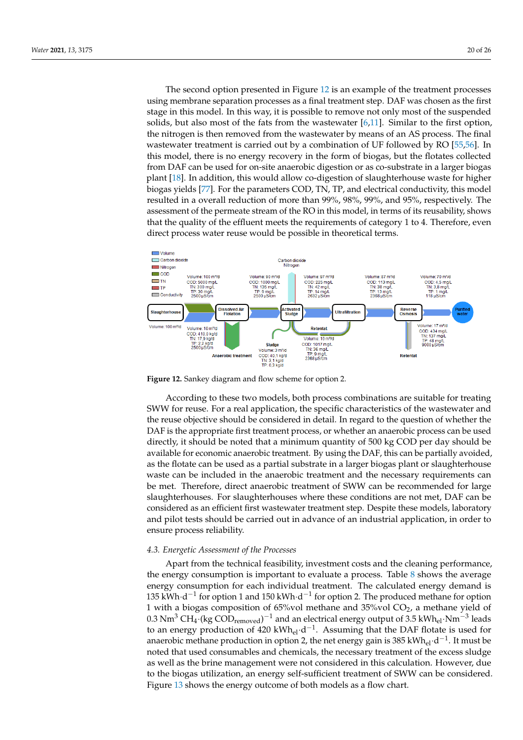The second option presented in Figure [12](#page-19-0) is an example of the treatment processes using membrane separation processes as a final treatment step. [DAF](#page-21-1) was chosen as the first stage in this model. In this way, it is possible to remove not only most of the suspended solids, but also most of the fats from the wastewater  $[6,11]$  $[6,11]$ . Similar to the first option, the nitrogen is then removed from the wastewater by means of an [AS](#page-21-24) process. The final wastewater treatment is carried out by a combination of [UF](#page-21-11) followed by [RO](#page-21-3) [\[55](#page-24-6)[,56\]](#page-24-7). In this model, there is no energy recovery in the form of biogas, but the flotates collected from [DAF](#page-21-1) can be used for on-site anaerobic digestion or as co-substrate in a larger biogas plant [\[18\]](#page-22-15). In addition, this would allow co-digestion of slaughterhouse waste for higher biogas yields [\[77\]](#page-25-2). For the parameters [COD,](#page-21-5) [TN,](#page-21-9) [TP,](#page-21-10) and electrical conductivity, this model resulted in a overall reduction of more than 99%, 98%, 99%, and 95%, respectively. The assessment of the permeate stream of the [RO](#page-21-3) in this model, in terms of its reusability, shows that the quality of the effluent meets the requirements of category 1 to 4. Therefore, even direct process water reuse would be possible in theoretical terms.

<span id="page-19-0"></span>

**Figure 12.** Sankey diagram and flow scheme for option 2.

According to these two models, both process combinations are suitable for treating SWW for reuse. For a real application, the specific characteristics of the wastewater and the reuse objective should be considered in detail. In regard to the question of whether the DAF is the appropriate first treatment process, or whether an anaerobic process can be used directly, it should be noted that a minimum quantity of 500 kg COD per day should be available for economic anaerobic treatment. By using the [DAF,](#page-21-1) this can be partially avoided, as the flotate can be used as a partial substrate in a larger biogas plant or slaughterhouse waste can be included in the anaerobic treatment and the necessary requirements can be met. Therefore, direct anaerobic treatment of [SWW](#page-21-0) can be recommended for large slaughterhouses. For slaughterhouses where these conditions are not met, [DAF](#page-21-1) can be considered as an efficient first wastewater treatment step. Despite these models, laboratory and pilot tests should be carried out in advance of an industrial application, in order to ensure process reliability.

#### *4.3. Energetic Assessment of the Processes*

Apart from the technical feasibility, investment costs and the cleaning performance, the energy consumption is important to evaluate a process. Table [8](#page-20-0) shows the average energy consumption for each individual treatment. The calculated energy demand is 135 kWh⋅d<sup>-1</sup> for option 1 and 150 kWh⋅d<sup>-1</sup> for option 2. The produced methane for option 1 with a biogas composition of 65%vol methane and 35%vol  $CO<sub>2</sub>$ , a methane yield of  $0.3$  Nm<sup>3</sup> CH<sub>4</sub>·(kg COD<sub>removed</sub>)<sup>-1</sup> and an electrical energy output of 3.5 kWh<sub>el</sub>·Nm<sup>-3</sup> leads to an energy production of 420 kWh<sub>el</sub> $\cdot$ d<sup>-1</sup>. Assuming that the [DAF](#page-21-1) flotate is used for anaerobic methane production in option 2, the net energy gain is 385 kWh<sub>el</sub>·d<sup>-1</sup>. It must be noted that used consumables and chemicals, the necessary treatment of the excess sludge as well as the brine management were not considered in this calculation. However, due to the biogas utilization, an energy self-sufficient treatment of [SWW](#page-21-0) can be considered. Figure [13](#page-20-1) shows the energy outcome of both models as a flow chart.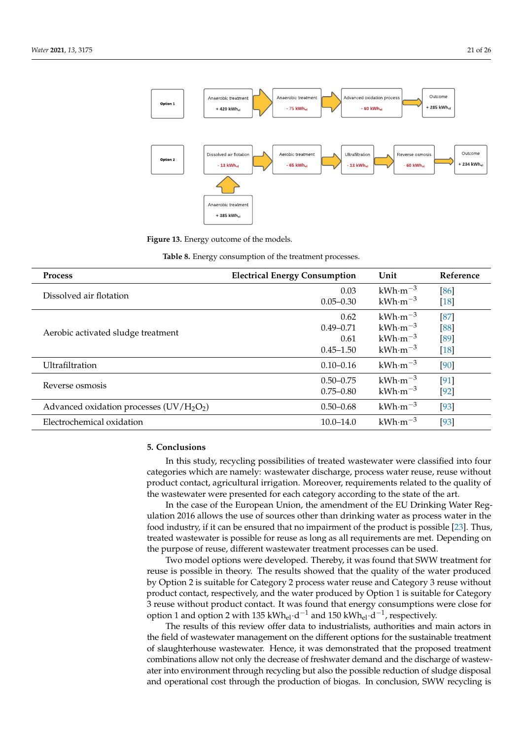<span id="page-20-1"></span>

**Figure 13.** Energy outcome of the models.

| Table 8. Energy consumption of the treatment processes. |  |  |  |  |
|---------------------------------------------------------|--|--|--|--|
|---------------------------------------------------------|--|--|--|--|

<span id="page-20-0"></span>

| <b>Process</b>                           | <b>Electrical Energy Consumption</b> | Unit               | Reference |
|------------------------------------------|--------------------------------------|--------------------|-----------|
| Dissolved air flotation                  | 0.03                                 | $kWh·m-3$          | [86]      |
|                                          | $0.05 - 0.30$                        | $kWh·m-3$          | $[18]$    |
|                                          | 0.62                                 | $kWh·m-3$          | [87]      |
| Aerobic activated sludge treatment       | $0.49 - 0.71$                        | $kWh·m-3$          | [88]      |
|                                          | 0.61                                 | $kWh·m-3$          | [89]      |
|                                          | $0.45 - 1.50$                        | $kWh·m-3$          | $[18]$    |
| Ultrafiltration                          | $0.10 - 0.16$                        | $kWh·m-3$          | [90]      |
| Reverse osmosis                          | $0.50 - 0.75$                        | $kWh \cdot m^{-3}$ | [91]      |
|                                          | $0.75 - 0.80$                        | $kWh·m-3$          | $[92]$    |
| Advanced oxidation processes $(UV/H2O2)$ | $0.50 - 0.68$                        | $kWh·m-3$          | [93]      |
| Electrochemical oxidation                | $10.0 - 14.0$                        | $kWh·m-3$          | [93]      |

# **5. Conclusions**

In this study, recycling possibilities of treated wastewater were classified into four categories which are namely: wastewater discharge, process water reuse, reuse without product contact, agricultural irrigation. Moreover, requirements related to the quality of the wastewater were presented for each category according to the state of the art.

In the case of the European Union, the amendment of the EU Drinking Water Regulation 2016 allows the use of sources other than drinking water as process water in the food industry, if it can be ensured that no impairment of the product is possible [\[23\]](#page-22-20). Thus, treated wastewater is possible for reuse as long as all requirements are met. Depending on the purpose of reuse, different wastewater treatment processes can be used.

Two model options were developed. Thereby, it was found that [SWW](#page-21-0) treatment for reuse is possible in theory. The results showed that the quality of the water produced by Option 2 is suitable for Category 2 process water reuse and Category 3 reuse without product contact, respectively, and the water produced by Option 1 is suitable for Category 3 reuse without product contact. It was found that energy consumptions were close for option 1 and option 2 with 135 kWh<sub>el</sub>·d<sup>-1</sup> and 150 kWh<sub>el</sub>·d<sup>-1</sup>, respectively.

The results of this review offer data to industrialists, authorities and main actors in the field of wastewater management on the different options for the sustainable treatment of slaughterhouse wastewater. Hence, it was demonstrated that the proposed treatment combinations allow not only the decrease of freshwater demand and the discharge of wastewater into environment through recycling but also the possible reduction of sludge disposal and operational cost through the production of biogas. In conclusion, [SWW](#page-21-0) recycling is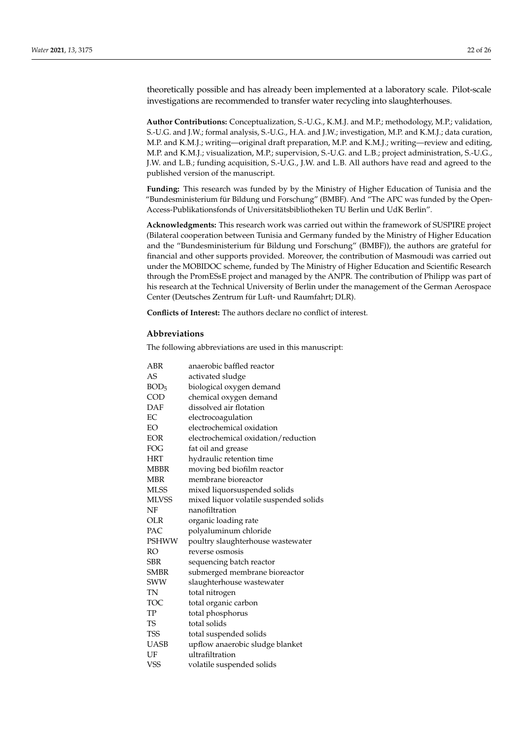theoretically possible and has already been implemented at a laboratory scale. Pilot-scale investigations are recommended to transfer water recycling into slaughterhouses.

**Author Contributions:** Conceptualization, S.-U.G., K.M.J. and M.P.; methodology, M.P.; validation, S.-U.G. and J.W.; formal analysis, S.-U.G., H.A. and J.W.; investigation, M.P. and K.M.J.; data curation, M.P. and K.M.J.; writing—original draft preparation, M.P. and K.M.J.; writing—review and editing, M.P. and K.M.J.; visualization, M.P.; supervision, S.-U.G. and L.B.; project administration, S.-U.G., J.W. and L.B.; funding acquisition, S.-U.G., J.W. and L.B. All authors have read and agreed to the published version of the manuscript.

**Funding:** This research was funded by by the Ministry of Higher Education of Tunisia and the "Bundesministerium für Bildung und Forschung" (BMBF). And "The APC was funded by the Open-Access-Publikationsfonds of Universitätsbibliotheken TU Berlin und UdK Berlin".

**Acknowledgments:** This research work was carried out within the framework of SUSPIRE project (Bilateral cooperation between Tunisia and Germany funded by the Ministry of Higher Education and the "Bundesministerium für Bildung und Forschung" (BMBF)), the authors are grateful for financial and other supports provided. Moreover, the contribution of Masmoudi was carried out under the MOBIDOC scheme, funded by The Ministry of Higher Education and Scientific Research through the PromESsE project and managed by the ANPR. The contribution of Philipp was part of his research at the Technical University of Berlin under the management of the German Aerospace Center (Deutsches Zentrum für Luft- und Raumfahrt; DLR).

**Conflicts of Interest:** The authors declare no conflict of interest.

# **Abbreviations**

The following abbreviations are used in this manuscript:

<span id="page-21-28"></span><span id="page-21-27"></span><span id="page-21-26"></span><span id="page-21-25"></span><span id="page-21-24"></span><span id="page-21-23"></span><span id="page-21-22"></span><span id="page-21-21"></span><span id="page-21-20"></span><span id="page-21-19"></span><span id="page-21-18"></span><span id="page-21-17"></span><span id="page-21-16"></span><span id="page-21-15"></span><span id="page-21-14"></span><span id="page-21-13"></span><span id="page-21-12"></span><span id="page-21-11"></span><span id="page-21-10"></span><span id="page-21-9"></span><span id="page-21-8"></span><span id="page-21-7"></span><span id="page-21-6"></span><span id="page-21-5"></span><span id="page-21-4"></span><span id="page-21-3"></span><span id="page-21-2"></span><span id="page-21-1"></span><span id="page-21-0"></span>

| ABR              | anaerobic baffled reactor              |
|------------------|----------------------------------------|
| AS               | activated sludge                       |
| BOD <sub>5</sub> | biological oxygen demand               |
| COD              | chemical oxygen demand                 |
| DAF              | dissolved air flotation                |
| EC               | electrocoagulation                     |
| EO               | electrochemical oxidation              |
| <b>EOR</b>       | electrochemical oxidation/reduction    |
| FOG              | fat oil and grease                     |
| <b>HRT</b>       | hydraulic retention time               |
| <b>MBBR</b>      | moving bed biofilm reactor             |
| <b>MBR</b>       | membrane bioreactor                    |
| <b>MLSS</b>      | mixed liquorsuspended solids           |
| <b>MLVSS</b>     | mixed liquor volatile suspended solids |
| NF               | nanofiltration                         |
| <b>OLR</b>       | organic loading rate                   |
| PAC              | polyaluminum chloride                  |
| <b>PSHWW</b>     | poultry slaughterhouse wastewater      |
| RO               | reverse osmosis                        |
| SBR              | sequencing batch reactor               |
| <b>SMBR</b>      | submerged membrane bioreactor          |
| SWW              | slaughterhouse wastewater              |
| TN               | total nitrogen                         |
| <b>TOC</b>       | total organic carbon                   |
| TP               | total phosphorus                       |
| <b>TS</b>        | total solids                           |
| <b>TSS</b>       | total suspended solids                 |
| <b>UASB</b>      | upflow anaerobic sludge blanket        |
| UF               | ultrafiltration                        |
| <b>VSS</b>       | volatile suspended solids              |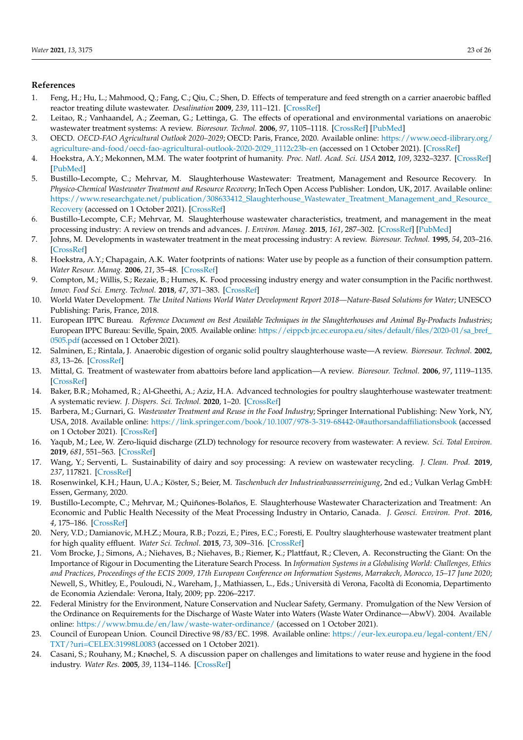## <span id="page-22-25"></span>**References**

- <span id="page-22-0"></span>1. Feng, H.; Hu, L.; Mahmood, Q.; Fang, C.; Qiu, C.; Shen, D. Effects of temperature and feed strength on a carrier anaerobic baffled reactor treating dilute wastewater. *Desalination* **2009**, *239*, 111–121. [\[CrossRef\]](http://doi.org/10.1016/j.desal.2008.03.011)
- <span id="page-22-1"></span>2. Leitao, R.; Vanhaandel, A.; Zeeman, G.; Lettinga, G. The effects of operational and environmental variations on anaerobic wastewater treatment systems: A review. *Bioresour. Technol.* **2006**, *97*, 1105–1118. [\[CrossRef\]](http://dx.doi.org/10.1016/j.biortech.2004.12.007) [\[PubMed\]](http://www.ncbi.nlm.nih.gov/pubmed/16551532)
- <span id="page-22-2"></span>3. OECD. *OECD-FAO Agricultural Outlook 2020–2029*; OECD: Paris, France, 2020. Available online: [https://www.oecd-ilibrary.org/](https://www.oecd-ilibrary.org/agriculture-and-food/oecd-fao-agricultural-outlook-2020-2029_1112c23b-en) [agriculture-and-food/oecd-fao-agricultural-outlook-2020-2029\\_1112c23b-en](https://www.oecd-ilibrary.org/agriculture-and-food/oecd-fao-agricultural-outlook-2020-2029_1112c23b-en) (accessed on 1 October 2021). [\[CrossRef\]](http://dx.doi.org/10.1787/1112c23b-en)
- <span id="page-22-3"></span>4. Hoekstra, A.Y.; Mekonnen, M.M. The water footprint of humanity. *Proc. Natl. Acad. Sci. USA* **2012**, *109*, 3232–3237. [\[CrossRef\]](http://dx.doi.org/10.1073/pnas.1109936109) [\[PubMed\]](http://www.ncbi.nlm.nih.gov/pubmed/22331890)
- <span id="page-22-4"></span>5. Bustillo-Lecompte, C.; Mehrvar, M. Slaughterhouse Wastewater: Treatment, Management and Resource Recovery. In *Physico-Chemical Wastewater Treatment and Resource Recovery*; InTech Open Access Publisher: London, UK, 2017. Available online: [https://www.researchgate.net/publication/308633412\\_Slaughterhouse\\_Wastewater\\_Treatment\\_Management\\_and\\_Resource\\_](https://www.researchgate.net/publication/308633412_Slaughterhouse_Wastewater_Treatment_Management_and_Resource_Recovery) [Recovery](https://www.researchgate.net/publication/308633412_Slaughterhouse_Wastewater_Treatment_Management_and_Resource_Recovery) (accessed on 1 October 2021). [\[CrossRef\]](http://dx.doi.org/10.5772/65499)
- <span id="page-22-5"></span>6. Bustillo-Lecompte, C.F.; Mehrvar, M. Slaughterhouse wastewater characteristics, treatment, and management in the meat processing industry: A review on trends and advances. *J. Environ. Manag.* **2015**, *161*, 287–302. [\[CrossRef\]](http://dx.doi.org/10.1016/j.jenvman.2015.07.008) [\[PubMed\]](http://www.ncbi.nlm.nih.gov/pubmed/26197423)
- <span id="page-22-6"></span>7. Johns, M. Developments in wastewater treatment in the meat processing industry: A review. *Bioresour. Technol.* **1995**, *54*, 203–216. [\[CrossRef\]](http://dx.doi.org/10.1016/0960-8524(95)00140-9)
- <span id="page-22-7"></span>8. Hoekstra, A.Y.; Chapagain, A.K. Water footprints of nations: Water use by people as a function of their consumption pattern. *Water Resour. Manag.* **2006**, *21*, 35–48. [\[CrossRef\]](http://dx.doi.org/10.1007/s11269-006-9039-x)
- <span id="page-22-8"></span>9. Compton, M.; Willis, S.; Rezaie, B.; Humes, K. Food processing industry energy and water consumption in the Pacific northwest. *Innov. Food Sci. Emerg. Technol.* **2018**, *47*, 371–383. [\[CrossRef\]](http://dx.doi.org/10.1016/j.ifset.2018.04.001)
- <span id="page-22-9"></span>10. World Water Development. *The United Nations World Water Development Report 2018—Nature-Based Solutions for Water*; UNESCO Publishing: Paris, France, 2018.
- <span id="page-22-10"></span>11. European IPPC Bureau. *Reference Document on Best Available Techniques in the Slaughterhouses and Animal By-Products Industries*; European IPPC Bureau: Seville, Spain, 2005. Available online: [https://eippcb.jrc.ec.europa.eu/sites/default/files/2020-01/sa\\_bref\\_](https://eippcb.jrc.ec.europa.eu/sites/default/files/2020-01/sa_bref_0505.pdf) [0505.pdf](https://eippcb.jrc.ec.europa.eu/sites/default/files/2020-01/sa_bref_0505.pdf) (accessed on 1 October 2021).
- <span id="page-22-11"></span>12. Salminen, E.; Rintala, J. Anaerobic digestion of organic solid poultry slaughterhouse waste—A review. *Bioresour. Technol.* **2002**, *83*, 13–26. [\[CrossRef\]](http://dx.doi.org/10.1016/S0960-8524(01)00199-7)
- <span id="page-22-24"></span>13. Mittal, G. Treatment of wastewater from abattoirs before land application—A review. *Bioresour. Technol.* **2006**, *97*, 1119–1135. [\[CrossRef\]](http://dx.doi.org/10.1016/j.biortech.2004.11.021)
- <span id="page-22-22"></span><span id="page-22-12"></span>14. Baker, B.R.; Mohamed, R.; Al-Gheethi, A.; Aziz, H.A. Advanced technologies for poultry slaughterhouse wastewater treatment: A systematic review. *J. Dispers. Sci. Technol.* **2020**, 1–20. [\[CrossRef\]](http://dx.doi.org/10.1080/01932691.2020.1721007)
- <span id="page-22-23"></span><span id="page-22-13"></span>15. Barbera, M.; Gurnari, G. *Wastewater Treatment and Reuse in the Food Industry*; Springer International Publishing: New York, NY, USA, 2018. Available online: <https://link.springer.com/book/10.1007/978-3-319-68442-0#authorsandaffiliationsbook> (accessed on 1 October 2021). [\[CrossRef\]](http://dx.doi.org/10.1007/978-3-319-68442-0)
- 16. Yaqub, M.; Lee, W. Zero-liquid discharge (ZLD) technology for resource recovery from wastewater: A review. *Sci. Total Environ.* **2019**, *681*, 551–563. [\[CrossRef\]](http://dx.doi.org/10.1016/j.scitotenv.2019.05.062)
- <span id="page-22-14"></span>17. Wang, Y.; Serventi, L. Sustainability of dairy and soy processing: A review on wastewater recycling. *J. Clean. Prod.* **2019**, *237*, 117821. [\[CrossRef\]](http://dx.doi.org/10.1016/j.jclepro.2019.117821)
- <span id="page-22-15"></span>18. Rosenwinkel, K.H.; Haun, U.A.; Köster, S.; Beier, M. *Taschenbuch der Industrieabwasserreinigung*, 2nd ed.; Vulkan Verlag GmbH: Essen, Germany, 2020.
- <span id="page-22-16"></span>19. Bustillo-Lecompte, C.; Mehrvar, M.; Quiñones-Bolaños, E. Slaughterhouse Wastewater Characterization and Treatment: An Economic and Public Health Necessity of the Meat Processing Industry in Ontario, Canada. *J. Geosci. Environ. Prot.* **2016**, *4*, 175–186. [\[CrossRef\]](http://dx.doi.org/10.4236/gep.2016.44021)
- <span id="page-22-17"></span>20. Nery, V.D.; Damianovic, M.H.Z.; Moura, R.B.; Pozzi, E.; Pires, E.C.; Foresti, E. Poultry slaughterhouse wastewater treatment plant for high quality effluent. *Water Sci. Technol.* **2015**, *73*, 309–316. [\[CrossRef\]](http://dx.doi.org/10.2166/wst.2015.494)
- <span id="page-22-18"></span>21. Vom Brocke, J.; Simons, A.; Niehaves, B.; Niehaves, B.; Riemer, K.; Plattfaut, R.; Cleven, A. Reconstructing the Giant: On the Importance of Rigour in Documenting the Literature Search Process. In *Information Systems in a Globalising World: Challenges, Ethics and Practices, Proceedings of the ECIS 2009, 17th European Conference on Information Systems, Marrakech, Morocco, 15–17 June 2020*; Newell, S., Whitley, E., Pouloudi, N., Wareham, J., Mathiassen, L., Eds.; Università di Verona, Facoltà di Economia, Departimento de Economia Aziendale: Verona, Italy, 2009; pp. 2206–2217.
- <span id="page-22-19"></span>22. Federal Ministry for the Environment, Nature Conservation and Nuclear Safety, Germany. Promulgation of the New Version of the Ordinance on Requirements for the Discharge of Waste Water into Waters (Waste Water Ordinance—AbwV). 2004. Available online: <https://www.bmu.de/en/law/waste-water-ordinance/> (accessed on 1 October 2021).
- <span id="page-22-20"></span>23. Council of European Union. Council Directive 98/83/EC. 1998. Available online: [https://eur-lex.europa.eu/legal-content/EN/](https://eur-lex.europa.eu/legal-content/EN/TXT/?uri=CELEX:31998L0083) [TXT/?uri=CELEX:31998L0083](https://eur-lex.europa.eu/legal-content/EN/TXT/?uri=CELEX:31998L0083) (accessed on 1 October 2021).
- <span id="page-22-21"></span>24. Casani, S.; Rouhany, M.; Knøchel, S. A discussion paper on challenges and limitations to water reuse and hygiene in the food industry. *Water Res.* **2005**, *39*, 1134–1146. [\[CrossRef\]](http://dx.doi.org/10.1016/j.watres.2004.12.015)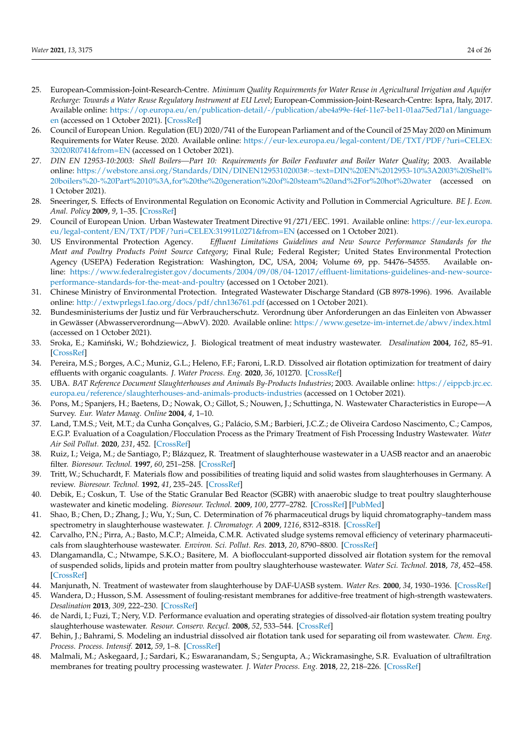- <span id="page-23-3"></span><span id="page-23-2"></span><span id="page-23-1"></span><span id="page-23-0"></span>25. European-Commission-Joint-Research-Centre. *Minimum Quality Requirements for Water Reuse in Agricultural Irrigation and Aquifer Recharge: Towards a Water Reuse Regulatory Instrument at EU Level*; European-Commission-Joint-Research-Centre: Ispra, Italy, 2017. Available online: [https://op.europa.eu/en/publication-detail/-/publication/abe4a99e-f4ef-11e7-be11-01aa75ed71a1/language](https://op.europa.eu/en/publication-detail/-/publication/abe4a99e-f4ef-11e7-be11-01aa75ed71a1/language-en)[en](https://op.europa.eu/en/publication-detail/-/publication/abe4a99e-f4ef-11e7-be11-01aa75ed71a1/language-en) (accessed on 1 October 2021). [\[CrossRef\]](http://dx.doi.org/10.2760/887727)
- 26. Council of European Union. Regulation (EU) 2020/741 of the European Parliament and of the Council of 25 May 2020 on Minimum Requirements for Water Reuse. 2020. Available online: [https://eur-lex.europa.eu/legal-content/DE/TXT/PDF/?uri=CELEX:](https://eur-lex.europa.eu/legal-content/DE/TXT/PDF/?uri=CELEX:32020R0741&from=EN) [32020R0741&from=EN](https://eur-lex.europa.eu/legal-content/DE/TXT/PDF/?uri=CELEX:32020R0741&from=EN) (accessed on 1 October 2021).
- <span id="page-23-9"></span>27. *DIN EN 12953-10:2003: Shell Boilers—Part 10: Requirements for Boiler Feedwater and Boiler Water Quality*; 2003. Available online: [https://webstore.ansi.org/Standards/DIN/DINEN12953102003#:~:text=DIN%20EN%2012953-10%3A2003%20Shell%](https://webstore.ansi.org/Standards/DIN/DINEN12953102003#:~:text=DIN%20EN%2012953-10%3A2003%20Shell%20boilers%20-%20Part%2010%3A,for%20the%20generation%20of%20steam%20and%2For%20hot%20water) [20boilers%20-%20Part%2010%3A,for%20the%20generation%20of%20steam%20and%2For%20hot%20water](https://webstore.ansi.org/Standards/DIN/DINEN12953102003#:~:text=DIN%20EN%2012953-10%3A2003%20Shell%20boilers%20-%20Part%2010%3A,for%20the%20generation%20of%20steam%20and%2For%20hot%20water) (accessed on 1 October 2021).
- <span id="page-23-4"></span>28. Sneeringer, S. Effects of Environmental Regulation on Economic Activity and Pollution in Commercial Agriculture. *BE J. Econ. Anal. Policy* **2009**, *9*, 1–35. [\[CrossRef\]](http://dx.doi.org/10.2202/1935-1682.2248)
- <span id="page-23-5"></span>29. Council of European Union. Urban Wastewater Treatment Directive 91/271/EEC. 1991. Available online: [https://eur-lex.europa.](https://eur-lex.europa.eu/legal-content/EN/TXT/PDF/?uri=CELEX:31991L0271&from=EN) [eu/legal-content/EN/TXT/PDF/?uri=CELEX:31991L0271&from=EN](https://eur-lex.europa.eu/legal-content/EN/TXT/PDF/?uri=CELEX:31991L0271&from=EN) (accessed on 1 October 2021).
- <span id="page-23-6"></span>30. US Environmental Protection Agency. *Effluent Limitations Guidelines and New Source Performance Standards for the Meat and Poultry Products Point Source Category*; Final Rule; Federal Register; United States Environmental Protection Agency (USEPA) Federation Registration: Washington, DC, USA, 2004; Volume 69, pp. 54476–54555. Available online: [https://www.federalregister.gov/documents/2004/09/08/04-12017/effluent-limitations-guidelines-and-new-source](https://www.federalregister.gov/documents/2004/09/08/04-12017/effluent-limitations-guidelines-and-new-source-performance-standards-for-the-meat-and-poultry)[performance-standards-for-the-meat-and-poultry](https://www.federalregister.gov/documents/2004/09/08/04-12017/effluent-limitations-guidelines-and-new-source-performance-standards-for-the-meat-and-poultry) (accessed on 1 October 2021).
- <span id="page-23-7"></span>31. Chinese Ministry of Environmental Protection. Integrated Wastewater Discharge Standard (GB 8978-1996). 1996. Available online: <http://extwprlegs1.fao.org/docs/pdf/chn136761.pdf> (accessed on 1 October 2021).
- <span id="page-23-8"></span>32. Bundesministeriums der Justiz und für Verbraucherschutz. Verordnung über Anforderungen an das Einleiten von Abwasser in Gewässer (Abwasserverordnung—AbwV). 2020. Available online: <https://www.gesetze-im-internet.de/abwv/index.html> (accessed on 1 October 2021).
- <span id="page-23-10"></span>33. Sroka, E.; Kamiński, W.; Bohdziewicz, J. Biological treatment of meat industry wastewater. *Desalination* 2004, 162, 85–91. [\[CrossRef\]](http://dx.doi.org/10.1016/S0011-9164(04)00030-X)
- <span id="page-23-11"></span>34. Pereira, M.S.; Borges, A.C.; Muniz, G.L.; Heleno, F.F.; Faroni, L.R.D. Dissolved air flotation optimization for treatment of dairy effluents with organic coagulants. *J. Water Process. Eng.* **2020**, *36*, 101270. [\[CrossRef\]](http://dx.doi.org/10.1016/j.jwpe.2020.101270)
- <span id="page-23-12"></span>35. UBA. *BAT Reference Document Slaughterhouses and Animals By-Products Industries*; 2003. Available online: [https://eippcb.jrc.ec.](https://eippcb.jrc.ec.europa.eu/reference/slaughterhouses-and-animals-products-industries) [europa.eu/reference/slaughterhouses-and-animals-products-industries](https://eippcb.jrc.ec.europa.eu/reference/slaughterhouses-and-animals-products-industries) (accessed on 1 October 2021).
- <span id="page-23-13"></span>36. Pons, M.; Spanjers, H.; Baetens, D.; Nowak, O.; Gillot, S.; Nouwen, J.; Schuttinga, N. Wastewater Characteristics in Europe—A Survey. *Eur. Water Manag. Online* **2004**, *4*, 1–10.
- <span id="page-23-14"></span>37. Land, T.M.S.; Veit, M.T.; da Cunha Gonçalves, G.; Palácio, S.M.; Barbieri, J.C.Z.; de Oliveira Cardoso Nascimento, C.; Campos, E.G.P. Evaluation of a Coagulation/Flocculation Process as the Primary Treatment of Fish Processing Industry Wastewater. *Water Air Soil Pollut.* **2020**, *231*, 452. [\[CrossRef\]](http://dx.doi.org/10.1007/s11270-020-04811-8)
- <span id="page-23-15"></span>38. Ruiz, I.; Veiga, M.; de Santiago, P.; Blázquez, R. Treatment of slaughterhouse wastewater in a UASB reactor and an anaerobic filter. *Bioresour. Technol.* **1997**, *60*, 251–258. [\[CrossRef\]](http://dx.doi.org/10.1016/S0960-8524(97)00020-5)
- <span id="page-23-16"></span>39. Tritt, W.; Schuchardt, F. Materials flow and possibilities of treating liquid and solid wastes from slaughterhouses in Germany. A review. *Bioresour. Technol.* **1992**, *41*, 235–245. [\[CrossRef\]](http://dx.doi.org/10.1016/0960-8524(92)90008-L)
- <span id="page-23-17"></span>40. Debik, E.; Coskun, T. Use of the Static Granular Bed Reactor (SGBR) with anaerobic sludge to treat poultry slaughterhouse wastewater and kinetic modeling. *Bioresour. Technol.* **2009**, *100*, 2777–2782. [\[CrossRef\]](http://dx.doi.org/10.1016/j.biortech.2008.12.058) [\[PubMed\]](http://www.ncbi.nlm.nih.gov/pubmed/19208468)
- <span id="page-23-18"></span>41. Shao, B.; Chen, D.; Zhang, J.; Wu, Y.; Sun, C. Determination of 76 pharmaceutical drugs by liquid chromatography–tandem mass spectrometry in slaughterhouse wastewater. *J. Chromatogr. A* **2009**, *1216*, 8312–8318. [\[CrossRef\]](http://dx.doi.org/10.1016/j.chroma.2009.08.038)
- <span id="page-23-19"></span>42. Carvalho, P.N.; Pirra, A.; Basto, M.C.P.; Almeida, C.M.R. Activated sludge systems removal efficiency of veterinary pharmaceuticals from slaughterhouse wastewater. *Environ. Sci. Pollut. Res.* **2013**, *20*, 8790–8800. [\[CrossRef\]](http://dx.doi.org/10.1007/s11356-013-1867-7)
- <span id="page-23-20"></span>43. Dlangamandla, C.; Ntwampe, S.K.O.; Basitere, M. A bioflocculant-supported dissolved air flotation system for the removal of suspended solids, lipids and protein matter from poultry slaughterhouse wastewater. *Water Sci. Technol.* **2018**, *78*, 452–458. [\[CrossRef\]](http://dx.doi.org/10.2166/wst.2018.324)
- <span id="page-23-21"></span>44. Manjunath, N. Treatment of wastewater from slaughterhouse by DAF-UASB system. *Water Res.* **2000**, *34*, 1930–1936. [\[CrossRef\]](http://dx.doi.org/10.1016/S0043-1354(99)00337-1)
- <span id="page-23-22"></span>45. Wandera, D.; Husson, S.M. Assessment of fouling-resistant membranes for additive-free treatment of high-strength wastewaters. *Desalination* **2013**, *309*, 222–230. [\[CrossRef\]](http://dx.doi.org/10.1016/j.desal.2012.10.013)
- <span id="page-23-23"></span>46. de Nardi, I.; Fuzi, T.; Nery, V.D. Performance evaluation and operating strategies of dissolved-air flotation system treating poultry slaughterhouse wastewater. *Resour. Conserv. Recycl.* **2008**, *52*, 533–544. [\[CrossRef\]](http://dx.doi.org/10.1016/j.resconrec.2007.06.005)
- <span id="page-23-24"></span>47. Behin, J.; Bahrami, S. Modeling an industrial dissolved air flotation tank used for separating oil from wastewater. *Chem. Eng. Process. Process. Intensif.* **2012**, *59*, 1–8. [\[CrossRef\]](http://dx.doi.org/10.1016/j.cep.2012.05.004)
- <span id="page-23-25"></span>48. Malmali, M.; Askegaard, J.; Sardari, K.; Eswaranandam, S.; Sengupta, A.; Wickramasinghe, S.R. Evaluation of ultrafiltration membranes for treating poultry processing wastewater. *J. Water Process. Eng.* **2018**, *22*, 218–226. [\[CrossRef\]](http://dx.doi.org/10.1016/j.jwpe.2018.02.010)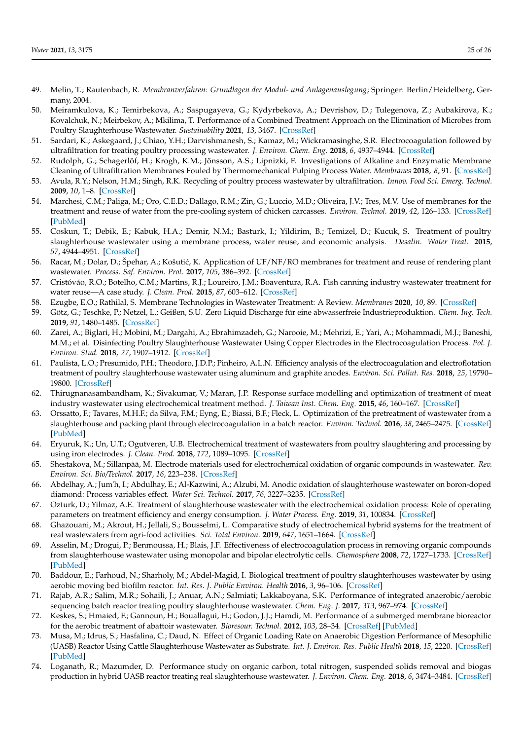- <span id="page-24-28"></span><span id="page-24-27"></span><span id="page-24-0"></span>49. Melin, T.; Rautenbach, R. *Membranverfahren: Grundlagen der Modul- und Anlagenauslegung*; Springer: Berlin/Heidelberg, Germany, 2004.
- <span id="page-24-1"></span>50. Meiramkulova, K.; Temirbekova, A.; Saspugayeva, G.; Kydyrbekova, A.; Devrishov, D.; Tulegenova, Z.; Aubakirova, K.; Kovalchuk, N.; Meirbekov, A.; Mkilima, T. Performance of a Combined Treatment Approach on the Elimination of Microbes from Poultry Slaughterhouse Wastewater. *Sustainability* **2021**, *13*, 3467. [\[CrossRef\]](http://dx.doi.org/10.3390/su13063467)
- <span id="page-24-2"></span>51. Sardari, K.; Askegaard, J.; Chiao, Y.H.; Darvishmanesh, S.; Kamaz, M.; Wickramasinghe, S.R. Electrocoagulation followed by ultrafiltration for treating poultry processing wastewater. *J. Environ. Chem. Eng.* **2018**, *6*, 4937–4944. [\[CrossRef\]](http://dx.doi.org/10.1016/j.jece.2018.07.022)
- <span id="page-24-3"></span>52. Rudolph, G.; Schagerlöf, H.; Krogh, K.M.; Jönsson, A.S.; Lipnizki, F. Investigations of Alkaline and Enzymatic Membrane Cleaning of Ultrafiltration Membranes Fouled by Thermomechanical Pulping Process Water. *Membranes* **2018**, *8*, 91. [\[CrossRef\]](http://dx.doi.org/10.3390/membranes8040091)
- <span id="page-24-4"></span>53. Avula, R.Y.; Nelson, H.M.; Singh, R.K. Recycling of poultry process wastewater by ultrafiltration. *Innov. Food Sci. Emerg. Technol.* **2009**, *10*, 1–8. [\[CrossRef\]](http://dx.doi.org/10.1016/j.ifset.2008.08.005)
- <span id="page-24-5"></span>54. Marchesi, C.M.; Paliga, M.; Oro, C.E.D.; Dallago, R.M.; Zin, G.; Luccio, M.D.; Oliveira, J.V.; Tres, M.V. Use of membranes for the treatment and reuse of water from the pre-cooling system of chicken carcasses. *Environ. Technol.* **2019**, *42*, 126–133. [\[CrossRef\]](http://dx.doi.org/10.1080/09593330.2019.1624834) [\[PubMed\]](http://www.ncbi.nlm.nih.gov/pubmed/31132009)
- <span id="page-24-6"></span>55. Coskun, T.; Debik, E.; Kabuk, H.A.; Demir, N.M.; Basturk, I.; Yildirim, B.; Temizel, D.; Kucuk, S. Treatment of poultry slaughterhouse wastewater using a membrane process, water reuse, and economic analysis. *Desalin. Water Treat.* **2015**, *57*, 4944–4951. [\[CrossRef\]](http://dx.doi.org/10.1080/19443994.2014.999715)
- <span id="page-24-7"></span>56. Racar, M.; Dolar, D.; Špehar, A.; Košutić, K. Application of UF/NF/RO membranes for treatment and reuse of rendering plant wastewater. *Process. Saf. Environ. Prot.* **2017**, *105*, 386–392. [\[CrossRef\]](http://dx.doi.org/10.1016/j.psep.2016.11.015)
- <span id="page-24-8"></span>57. Cristóvão, R.O.; Botelho, C.M.; Martins, R.J.; Loureiro, J.M.; Boaventura, R.A. Fish canning industry wastewater treatment for water reuse—A case study. *J. Clean. Prod.* **2015**, *87*, 603–612. [\[CrossRef\]](http://dx.doi.org/10.1016/j.jclepro.2014.10.076)
- <span id="page-24-9"></span>58. Ezugbe, E.O.; Rathilal, S. Membrane Technologies in Wastewater Treatment: A Review. *Membranes* **2020**, *10*, 89. [\[CrossRef\]](http://dx.doi.org/10.3390/membranes10050089)
- <span id="page-24-10"></span>59. Götz, G.; Teschke, P.; Netzel, L.; Geißen, S.U. Zero Liquid Discharge für eine abwasserfreie Industrieproduktion. *Chem. Ing. Tech.* **2019**, *91*, 1480–1485. [\[CrossRef\]](http://dx.doi.org/10.1002/cite.201900047)
- <span id="page-24-11"></span>60. Zarei, A.; Biglari, H.; Mobini, M.; Dargahi, A.; Ebrahimzadeh, G.; Narooie, M.; Mehrizi, E.; Yari, A.; Mohammadi, M.J.; Baneshi, M.M.; et al. Disinfecting Poultry Slaughterhouse Wastewater Using Copper Electrodes in the Electrocoagulation Process. *Pol. J. Environ. Stud.* **2018**, *27*, 1907–1912. [\[CrossRef\]](http://dx.doi.org/10.15244/pjoes/78150)
- <span id="page-24-12"></span>61. Paulista, L.O.; Presumido, P.H.; Theodoro, J.D.P.; Pinheiro, A.L.N. Efficiency analysis of the electrocoagulation and electroflotation treatment of poultry slaughterhouse wastewater using aluminum and graphite anodes. *Environ. Sci. Pollut. Res.* **2018**, *25*, 19790– 19800. [\[CrossRef\]](http://dx.doi.org/10.1007/s11356-018-2184-y)
- <span id="page-24-26"></span><span id="page-24-13"></span>62. Thirugnanasambandham, K.; Sivakumar, V.; Maran, J.P. Response surface modelling and optimization of treatment of meat industry wastewater using electrochemical treatment method. *J. Taiwan Inst. Chem. Eng.* **2015**, *46*, 160–167. [\[CrossRef\]](http://dx.doi.org/10.1016/j.jtice.2014.09.021)
- <span id="page-24-14"></span>63. Orssatto, F.; Tavares, M.H.F.; da Silva, F.M.; Eyng, E.; Biassi, B.F.; Fleck, L. Optimization of the pretreatment of wastewater from a slaughterhouse and packing plant through electrocoagulation in a batch reactor. *Environ. Technol.* **2016**, *38*, 2465–2475. [\[CrossRef\]](http://dx.doi.org/10.1080/09593330.2016.1266036) [\[PubMed\]](http://www.ncbi.nlm.nih.gov/pubmed/27892816)
- <span id="page-24-15"></span>64. Eryuruk, K.; Un, U.T.; Ogutveren, U.B. Electrochemical treatment of wastewaters from poultry slaughtering and processing by using iron electrodes. *J. Clean. Prod.* **2018**, *172*, 1089–1095. [\[CrossRef\]](http://dx.doi.org/10.1016/j.jclepro.2017.10.254)
- <span id="page-24-16"></span>65. Shestakova, M.; Sillanpää, M. Electrode materials used for electrochemical oxidation of organic compounds in wastewater. *Rev. Environ. Sci. Bio/Technol.* **2017**, *16*, 223–238. [\[CrossRef\]](http://dx.doi.org/10.1007/s11157-017-9426-1)
- <span id="page-24-17"></span>66. Abdelhay, A.; Jum'h, I.; Abdulhay, E.; Al-Kazwini, A.; Alzubi, M. Anodic oxidation of slaughterhouse wastewater on boron-doped diamond: Process variables effect. *Water Sci. Technol.* **2017**, *76*, 3227–3235. [\[CrossRef\]](http://dx.doi.org/10.2166/wst.2017.488)
- <span id="page-24-18"></span>67. Ozturk, D.; Yilmaz, A.E. Treatment of slaughterhouse wastewater with the electrochemical oxidation process: Role of operating parameters on treatment efficiency and energy consumption. *J. Water Process. Eng.* **2019**, *31*, 100834. [\[CrossRef\]](http://dx.doi.org/10.1016/j.jwpe.2019.100834)
- <span id="page-24-19"></span>68. Ghazouani, M.; Akrout, H.; Jellali, S.; Bousselmi, L. Comparative study of electrochemical hybrid systems for the treatment of real wastewaters from agri-food activities. *Sci. Total Environ.* **2019**, *647*, 1651–1664. [\[CrossRef\]](http://dx.doi.org/10.1016/j.scitotenv.2018.08.023)
- <span id="page-24-20"></span>69. Asselin, M.; Drogui, P.; Benmoussa, H.; Blais, J.F. Effectiveness of electrocoagulation process in removing organic compounds from slaughterhouse wastewater using monopolar and bipolar electrolytic cells. *Chemosphere* **2008**, *72*, 1727–1733. [\[CrossRef\]](http://dx.doi.org/10.1016/j.chemosphere.2008.04.067) [\[PubMed\]](http://www.ncbi.nlm.nih.gov/pubmed/18547609)
- <span id="page-24-21"></span>70. Baddour, E.; Farhoud, N.; Sharholy, M.; Abdel-Magid, I. Biological treatment of poultry slaughterhouses wastewater by using aerobic moving bed biofilm reactor. *Int. Res. J. Public Environ. Health* **2016**, *3*, 96–106. [\[CrossRef\]](http://dx.doi.org/10.15739/irjpeh.16.013)
- <span id="page-24-22"></span>71. Rajab, A.R.; Salim, M.R.; Sohaili, J.; Anuar, A.N.; Salmiati; Lakkaboyana, S.K. Performance of integrated anaerobic/aerobic sequencing batch reactor treating poultry slaughterhouse wastewater. *Chem. Eng. J.* **2017**, *313*, 967–974. [\[CrossRef\]](http://dx.doi.org/10.1016/j.cej.2016.10.144)
- <span id="page-24-23"></span>72. Keskes, S.; Hmaied, F.; Gannoun, H.; Bouallagui, H.; Godon, J.J.; Hamdi, M. Performance of a submerged membrane bioreactor for the aerobic treatment of abattoir wastewater. *Bioresour. Technol.* **2012**, *103*, 28–34. [\[CrossRef\]](http://dx.doi.org/10.1016/j.biortech.2011.09.063) [\[PubMed\]](http://www.ncbi.nlm.nih.gov/pubmed/22055096)
- <span id="page-24-24"></span>73. Musa, M.; Idrus, S.; Hasfalina, C.; Daud, N. Effect of Organic Loading Rate on Anaerobic Digestion Performance of Mesophilic (UASB) Reactor Using Cattle Slaughterhouse Wastewater as Substrate. *Int. J. Environ. Res. Public Health* **2018**, *15*, 2220. [\[CrossRef\]](http://dx.doi.org/10.3390/ijerph15102220) [\[PubMed\]](http://www.ncbi.nlm.nih.gov/pubmed/30314290)
- <span id="page-24-25"></span>74. Loganath, R.; Mazumder, D. Performance study on organic carbon, total nitrogen, suspended solids removal and biogas production in hybrid UASB reactor treating real slaughterhouse wastewater. *J. Environ. Chem. Eng.* **2018**, *6*, 3474–3484. [\[CrossRef\]](http://dx.doi.org/10.1016/j.jece.2018.05.031)